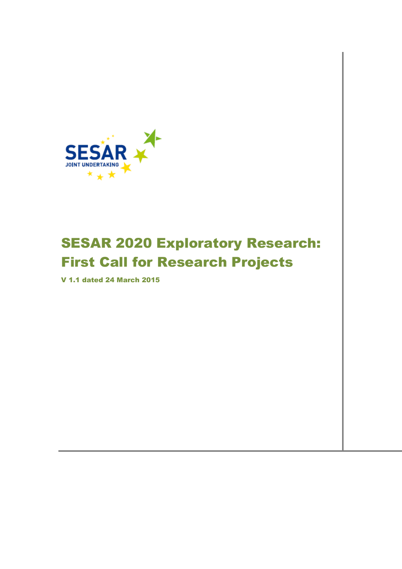

# SESAR 2020 Exploratory Research: First Call for Research Projects

V 1.1 dated 24 March 2015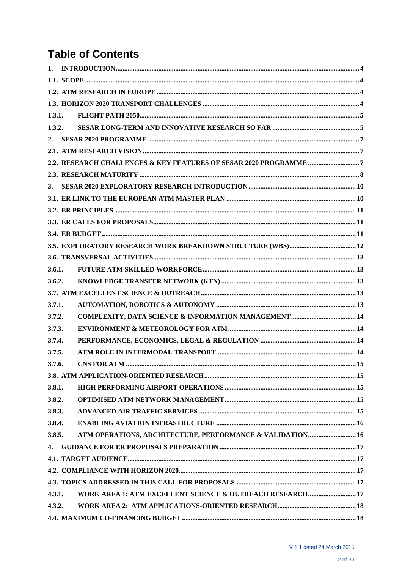# **Table of Contents**

| 1.3.1. |                                                           |  |
|--------|-----------------------------------------------------------|--|
| 1.3.2. |                                                           |  |
| 2.     |                                                           |  |
|        |                                                           |  |
|        |                                                           |  |
|        |                                                           |  |
|        |                                                           |  |
|        |                                                           |  |
|        |                                                           |  |
|        |                                                           |  |
|        |                                                           |  |
|        |                                                           |  |
|        |                                                           |  |
| 3.6.1. |                                                           |  |
| 3.6.2. |                                                           |  |
|        |                                                           |  |
| 3.7.1. |                                                           |  |
| 3.7.2. |                                                           |  |
| 3.7.3. |                                                           |  |
| 3.7.4. |                                                           |  |
| 3.7.5. |                                                           |  |
| 3.7.6. |                                                           |  |
|        |                                                           |  |
| 3.8.1. |                                                           |  |
| 3.8.2. |                                                           |  |
| 3.8.3. |                                                           |  |
| 3.8.4. |                                                           |  |
| 3.8.5. | ATM OPERATIONS, ARCHITECTURE, PERFORMANCE & VALIDATION 16 |  |
| 4.     |                                                           |  |
|        |                                                           |  |
|        |                                                           |  |
|        |                                                           |  |
| 4.3.1. | WORK AREA 1: ATM EXCELLENT SCIENCE & OUTREACH RESEARCH 17 |  |
| 4.3.2. |                                                           |  |
|        |                                                           |  |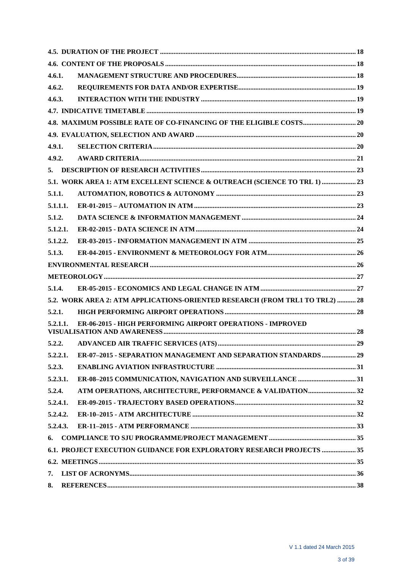| 4.6.1.   |                                                                              |  |
|----------|------------------------------------------------------------------------------|--|
| 4.6.2.   |                                                                              |  |
| 4.6.3.   |                                                                              |  |
|          |                                                                              |  |
|          |                                                                              |  |
|          |                                                                              |  |
| 4.9.1.   |                                                                              |  |
| 4.9.2.   |                                                                              |  |
| 5.       |                                                                              |  |
|          | 5.1. WORK AREA 1: ATM EXCELLENT SCIENCE & OUTREACH (SCIENCE TO TRL 1)  23    |  |
| 5.1.1.   |                                                                              |  |
| 5.1.1.1. |                                                                              |  |
| 5.1.2.   |                                                                              |  |
| 5.1.2.1. |                                                                              |  |
| 5.1.2.2. |                                                                              |  |
| 5.1.3.   |                                                                              |  |
|          |                                                                              |  |
|          |                                                                              |  |
| 5.1.4.   |                                                                              |  |
|          | 5.2. WORK AREA 2: ATM APPLICATIONS-ORIENTED RESEARCH (FROM TRL1 TO TRL2)  28 |  |
| 5.2.1.   |                                                                              |  |
| 5.2.1.1. | ER-06-2015 - HIGH PERFORMING AIRPORT OPERATIONS - IMPROVED                   |  |
| 5.2.2.   |                                                                              |  |
| 5.2.2.1. | ER-07-2015 - SEPARATION MANAGEMENT AND SEPARATION STANDARDS  29              |  |
| 5.2.3.   |                                                                              |  |
| 5.2.3.1. |                                                                              |  |
| 5.2.4.   |                                                                              |  |
| 5.2.4.1. |                                                                              |  |
| 5.2.4.2. |                                                                              |  |
| 5.2.4.3. |                                                                              |  |
| 6.       |                                                                              |  |
|          | 6.1. PROJECT EXECUTION GUIDANCE FOR EXPLORATORY RESEARCH PROJECTS  35        |  |
|          |                                                                              |  |
| 7.       |                                                                              |  |
| 8.       |                                                                              |  |
|          |                                                                              |  |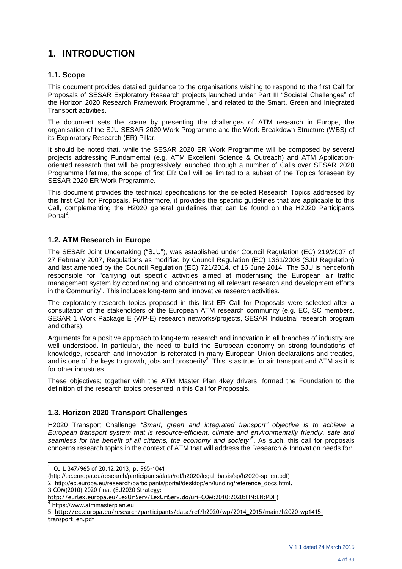# **1. INTRODUCTION**

#### **1.1. Scope**

This document provides detailed guidance to the organisations wishing to respond to the first Call for Proposals of SESAR Exploratory Research projects launched under Part III "Societal Challenges" of the Horizon 2020 Research Framework Programme<sup>1</sup>, and related to the Smart, Green and Integrated Transport activities.

The document sets the scene by presenting the challenges of ATM research in Europe, the organisation of the SJU SESAR 2020 Work Programme and the Work Breakdown Structure (WBS) of its Exploratory Research (ER) Pillar.

It should be noted that, while the SESAR 2020 ER Work Programme will be composed by several projects addressing Fundamental (e.g. ATM Excellent Science & Outreach) and ATM Applicationoriented research that will be progressively launched through a number of Calls over SESAR 2020 Programme lifetime, the scope of first ER Call will be limited to a subset of the Topics foreseen by SESAR 2020 ER Work Programme.

This document provides the technical specifications for the selected Research Topics addressed by this first Call for Proposals. Furthermore, it provides the specific guidelines that are applicable to this Call, complementing the H2020 general guidelines that can be found on the H2020 Participants Portal<sup>2</sup>.

# **1.2. ATM Research in Europe**

The SESAR Joint Undertaking ("SJU"), was established under Council Regulation (EC) 219/2007 of 27 February 2007, Regulations as modified by Council Regulation (EC) 1361/2008 (SJU Regulation) and last amended by the Council Regulation (EC) 721/2014. of 16 June 2014 The SJU is henceforth responsible for "carrying out specific activities aimed at modernising the European air traffic management system by coordinating and concentrating all relevant research and development efforts in the Community". This includes long-term and innovative research activities.

The exploratory research topics proposed in this first ER Call for Proposals were selected after a consultation of the stakeholders of the European ATM research community (e.g. EC, SC members, SESAR 1 Work Package E (WP-E) research networks/projects, SESAR Industrial research program and others).

Arguments for a positive approach to long-term research and innovation in all branches of industry are well understood. In particular, the need to build the European economy on strong foundations of knowledge, research and innovation is reiterated in many European Union declarations and treaties, and is one of the keys to growth, jobs and prosperity<sup>3</sup>. This is as true for air transport and ATM as it is for other industries.

These objectives; together with the ATM Master Plan 4key drivers, formed the Foundation to the definition of the research topics presented in this Call for Proposals.

# **1.3. Horizon 2020 Transport Challenges**

H2020 Transport Challenge *"Smart, green and integrated transport" objective is to achieve a European transport system that is resource-efficient, climate and environmentally friendly, safe and seamless for the benefit of all citizens, the economy and society"<sup>5</sup>* . As such, this call for proposals concerns research topics in the context of ATM that will address the Research & Innovation needs for:

https://www.atmmasterplan.eu

l  $1$  OJ L 347/965 of 20.12.2013, p. 965-1041

<sup>(</sup>[http://ec.europa.eu/research/participants/data/ref/h2020/legal\\_basis/sp/h2020-sp\\_en.pdf](http://ec.europa.eu/research/participants/data/ref/h2020/legal_basis/sp/h2020-sp_en.pdf))

<sup>2</sup> [http://ec.europa.eu/research/participants/portal/desktop/en/funding/reference\\_docs.html](http://ec.europa.eu/research/participants/portal/desktop/en/funding/reference_docs.html). 3 COM(2010) 2020 final (EU2020 Strategy:

[http://eurlex.europa.eu/LexUriServ/LexUriServ.do?uri=COM:2010:2020:FIN:EN:PDF\)](http://eurlex.europa.eu/LexUriServ/LexUriServ.do?uri=COM:2010:2020:FIN:EN:PDF)<br><sup>4</sup> https://uusu.etmmosterplan.eu

<sup>5</sup> [http://ec.europa.eu/research/participants/data/ref/h2020/wp/2014\\_2015/main/h2020-wp1415](http://ec.europa.eu/research/participants/data/ref/h2020/wp/2014_2015/main/h2020-wp1415-transport_en.pdf) [transport\\_en.pdf](http://ec.europa.eu/research/participants/data/ref/h2020/wp/2014_2015/main/h2020-wp1415-transport_en.pdf)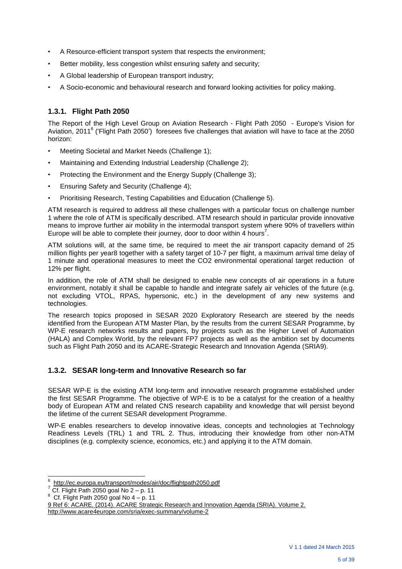- A Resource-efficient transport system that respects the environment;
- Better mobility, less congestion whilst ensuring safety and security;
- A Global leadership of European transport industry;
- A Socio-economic and behavioural research and forward looking activities for policy making.

# **1.3.1. Flight Path 2050**

The Report of the High Level Group on Aviation Research - Flight Path 2050 - Europe's Vision for Aviation, 2011<sup>6</sup> ('Flight Path 2050') foresees five challenges that aviation will have to face at the 2050 horizon:

- Meeting Societal and Market Needs (Challenge 1);
- Maintaining and Extending Industrial Leadership (Challenge 2);
- Protecting the Environment and the Energy Supply (Challenge 3);
- Ensuring Safety and Security (Challenge 4);
- Prioritising Research, Testing Capabilities and Education (Challenge 5).

ATM research is required to address all these challenges with a particular focus on challenge number 1 where the role of ATM is specifically described. ATM research should in particular provide innovative means to improve further air mobility in the intermodal transport system where 90% of travellers within Europe will be able to complete their journey, door to door within 4 hours<sup>7</sup>.

ATM solutions will, at the same time, be required to meet the air transport capacity demand of 25 million flights per year8 together with a safety target of 10-7 per flight, a maximum arrival time delay of 1 minute and operational measures to meet the CO2 environmental operational target reduction of 12% per flight.

In addition, the role of ATM shall be designed to enable new concepts of air operations in a future environment, notably it shall be capable to handle and integrate safely air vehicles of the future (e.g. not excluding VTOL, RPAS, hypersonic, etc.) in the development of any new systems and technologies.

The research topics proposed in SESAR 2020 Exploratory Research are steered by the needs identified from the European ATM Master Plan, by the results from the current SESAR Programme, by WP-E research networks results and papers, by projects such as the Higher Level of Automation (HALA) and Complex World, by the relevant FP7 projects as well as the ambition set by documents such as Flight Path 2050 and its ACARE-Strategic Research and Innovation Agenda (SRIA9).

#### **1.3.2. SESAR long-term and Innovative Research so far**

SESAR WP-E is the existing ATM long-term and innovative research programme established under the first SESAR Programme. The objective of WP-E is to be a catalyst for the creation of a healthy body of European ATM and related CNS research capability and knowledge that will persist beyond the lifetime of the current SESAR development Programme.

WP-E enables researchers to develop innovative ideas, concepts and technologies at Technology Readiness Levels (TRL) 1 and TRL 2. Thus, introducing their knowledge from other non-ATM disciplines (e.g. complexity science, economics, etc.) and applying it to the ATM domain.

 6 <http://ec.europa.eu/transport/modes/air/doc/flightpath2050.pdf>

 $7$  Cf. Flight Path 2050 goal No 2 – p. 11

<sup>8</sup> Cf. Flight Path 2050 goal No 4 – p. 11

<sup>9</sup> Ref 6: ACARE. (2014). ACARE Strategic Research and Innovation Agenda (SRIA). Volume 2. http://www.acare4europe.com/sria/exec-summary/volume-2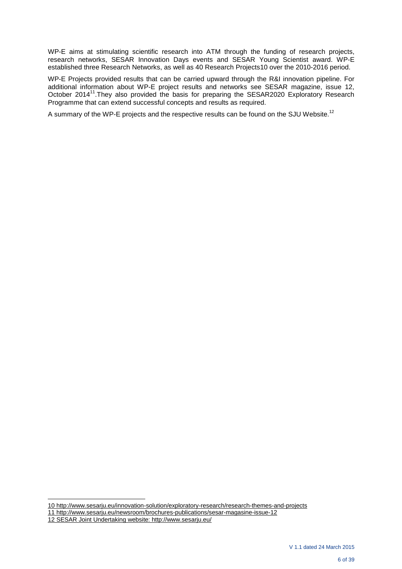WP-E aims at stimulating scientific research into ATM through the funding of research projects, research networks, SESAR Innovation Days events and SESAR Young Scientist award. WP-E established three Research Networks, as well as 40 Research Projects10 over the 2010-2016 period.

WP-E Projects provided results that can be carried upward through the R&I innovation pipeline. For additional information about WP-E project results and networks see SESAR magazine, issue 12, October 2014<sup>11</sup>. They also provided the basis for preparing the SESAR2020 Exploratory Research Programme that can extend successful concepts and results as required.

A summary of the WP-E projects and the respective results can be found on the SJU Website.<sup>12</sup>

l

<sup>10</sup> http://www.sesarju.eu/innovation-solution/exploratory-research/research-themes-and-projects

<sup>11</sup> http://www.sesarju.eu/newsroom/brochures-publications/sesar-magasine-issue-12

<sup>12</sup> SESAR Joint Undertaking website: <http://www.sesarju.eu/>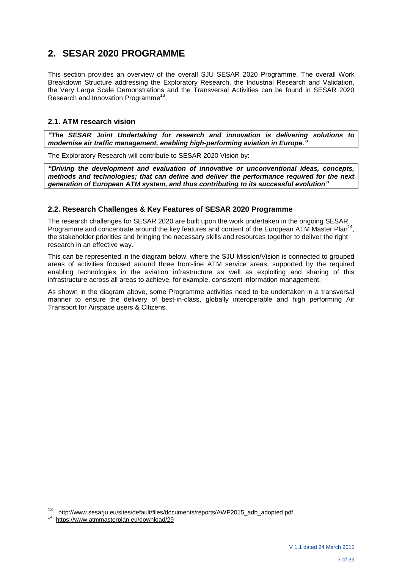# **2. SESAR 2020 PROGRAMME**

This section provides an overview of the overall SJU SESAR 2020 Programme. The overall Work Breakdown Structure addressing the Exploratory Research, the Industrial Research and Validation, the Very Large Scale Demonstrations and the Transversal Activities can be found in SESAR 2020 Research and Innovation Programme<sup>13</sup>.

# **2.1. ATM research vision**

*"The SESAR Joint Undertaking for research and innovation is delivering solutions to modernise air traffic management, enabling high-performing aviation in Europe."*

The Exploratory Research will contribute to SESAR 2020 Vision by:

*"Driving the development and evaluation of innovative or unconventional ideas, concepts, methods and technologies; that can define and deliver the performance required for the next generation of European ATM system, and thus contributing to its successful evolution"*

# **2.2. Research Challenges & Key Features of SESAR 2020 Programme**

The research challenges for SESAR 2020 are built upon the work undertaken in the ongoing SESAR Programme and concentrate around the key features and content of the European ATM Master Plan<sup>1</sup> , the stakeholder priorities and bringing the necessary skills and resources together to deliver the right research in an effective way.

This can be represented in the diagram below, where the SJU Mission/Vision is connected to grouped areas of activities focused around three front-line ATM service areas, supported by the required enabling technologies in the aviation infrastructure as well as exploiting and sharing of this infrastructure across all areas to achieve, for example, consistent information management.

As shown in the diagram above, some Programme activities need to be undertaken in a transversal manner to ensure the delivery of best-in-class, globally interoperable and high performing Air Transport for Airspace users & Citizens.

<sup>13</sup> http://www.sesarju.eu/sites/default/files/documents/reports/AWP2015\_adb\_adopted.pdf

<https://www.atmmasterplan.eu/download/29>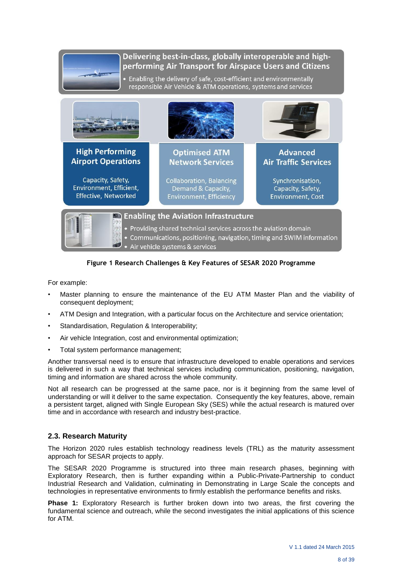# Delivering best-in-class, globally interoperable and highperforming Air Transport for Airspace Users and Citizens

• Enabling the delivery of safe, cost-efficient and environmentally responsible Air Vehicle & ATM operations, systems and services



# **Figure 1 Research Challenges & Key Features of SESAR 2020 Programme**

For example:

- Master planning to ensure the maintenance of the EU ATM Master Plan and the viability of consequent deployment;
- ATM Design and Integration, with a particular focus on the Architecture and service orientation;
- Standardisation, Regulation & Interoperability;
- Air vehicle Integration, cost and environmental optimization;
- Total system performance management;

Another transversal need is to ensure that infrastructure developed to enable operations and services is delivered in such a way that technical services including communication, positioning, navigation, timing and information are shared across the whole community.

Not all research can be progressed at the same pace, nor is it beginning from the same level of understanding or will it deliver to the same expectation. Consequently the key features, above, remain a persistent target, aligned with Single European Sky (SES) while the actual research is matured over time and in accordance with research and industry best-practice.

# **2.3. Research Maturity**

The Horizon 2020 rules establish technology readiness levels (TRL) as the maturity assessment approach for SESAR projects to apply.

The SESAR 2020 Programme is structured into three main research phases, beginning with Exploratory Research, then is further expanding within a Public-Private-Partnership to conduct Industrial Research and Validation, culminating in Demonstrating in Large Scale the concepts and technologies in representative environments to firmly establish the performance benefits and risks.

**Phase 1:** Exploratory Research is further broken down into two areas, the first covering the fundamental science and outreach, while the second investigates the initial applications of this science for ATM.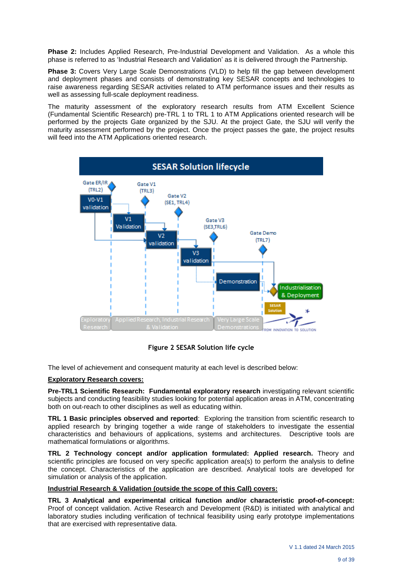**Phase 2:** Includes Applied Research, Pre-Industrial Development and Validation. As a whole this phase is referred to as 'Industrial Research and Validation' as it is delivered through the Partnership.

**Phase 3:** Covers Very Large Scale Demonstrations (VLD) to help fill the gap between development and deployment phases and consists of demonstrating key SESAR concepts and technologies to raise awareness regarding SESAR activities related to ATM performance issues and their results as well as assessing full-scale deployment readiness.

The maturity assessment of the exploratory research results from ATM Excellent Science (Fundamental Scientific Research) pre-TRL 1 to TRL 1 to ATM Applications oriented research will be performed by the projects Gate organized by the SJU. At the project Gate, the SJU will verify the maturity assessment performed by the project. Once the project passes the gate, the project results will feed into the ATM Applications oriented research.



**Figure 2 SESAR Solution life cycle**

The level of achievement and consequent maturity at each level is described below:

#### **Exploratory Research covers:**

**Pre-TRL1 Scientific Research: Fundamental exploratory research** investigating relevant scientific subjects and conducting feasibility studies looking for potential application areas in ATM, concentrating both on out-reach to other disciplines as well as educating within.

**TRL 1 Basic principles observed and reported**: Exploring the transition from scientific research to applied research by bringing together a wide range of stakeholders to investigate the essential characteristics and behaviours of applications, systems and architectures. Descriptive tools are mathematical formulations or algorithms.

**TRL 2 Technology concept and/or application formulated: Applied research.** Theory and scientific principles are focused on very specific application area(s) to perform the analysis to define the concept. Characteristics of the application are described. Analytical tools are developed for simulation or analysis of the application.

#### **Industrial Research & Validation (outside the scope of this Call) covers:**

**TRL 3 Analytical and experimental critical function and/or characteristic proof-of-concept:** Proof of concept validation. Active Research and Development (R&D) is initiated with analytical and laboratory studies including verification of technical feasibility using early prototype implementations that are exercised with representative data.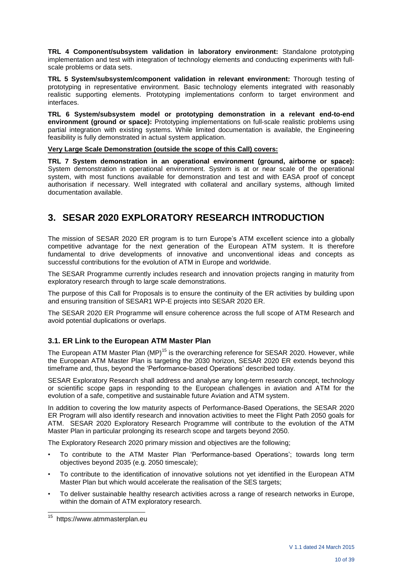**TRL 4 Component/subsystem validation in laboratory environment:** Standalone prototyping implementation and test with integration of technology elements and conducting experiments with fullscale problems or data sets.

**TRL 5 System/subsystem/component validation in relevant environment:** Thorough testing of prototyping in representative environment. Basic technology elements integrated with reasonably realistic supporting elements. Prototyping implementations conform to target environment and interfaces.

**TRL 6 System/subsystem model or prototyping demonstration in a relevant end-to-end environment (ground or space):** Prototyping implementations on full-scale realistic problems using partial integration with existing systems. While limited documentation is available, the Engineering feasibility is fully demonstrated in actual system application.

**Very Large Scale Demonstration (outside the scope of this Call) covers:**

**TRL 7 System demonstration in an operational environment (ground, airborne or space):** System demonstration in operational environment. System is at or near scale of the operational system, with most functions available for demonstration and test and with EASA proof of concept authorisation if necessary. Well integrated with collateral and ancillary systems, although limited documentation available.

# **3. SESAR 2020 EXPLORATORY RESEARCH INTRODUCTION**

The mission of SESAR 2020 ER program is to turn Europe's ATM excellent science into a globally competitive advantage for the next generation of the European ATM system. It is therefore fundamental to drive developments of innovative and unconventional ideas and concepts as successful contributions for the evolution of ATM in Europe and worldwide.

The SESAR Programme currently includes research and innovation projects ranging in maturity from exploratory research through to large scale demonstrations.

The purpose of this Call for Proposals is to ensure the continuity of the ER activities by building upon and ensuring transition of SESAR1 WP-E projects into SESAR 2020 ER.

The SESAR 2020 ER Programme will ensure coherence across the full scope of ATM Research and avoid potential duplications or overlaps.

# **3.1. ER Link to the European ATM Master Plan**

The European ATM Master Plan (MP)<sup>15</sup> is the overarching reference for SESAR 2020. However, while the European ATM Master Plan is targeting the 2030 horizon, SESAR 2020 ER extends beyond this timeframe and, thus, beyond the 'Performance-based Operations' described today.

SESAR Exploratory Research shall address and analyse any long-term research concept, technology or scientific scope gaps in responding to the European challenges in aviation and ATM for the evolution of a safe, competitive and sustainable future Aviation and ATM system.

In addition to covering the low maturity aspects of Performance-Based Operations, the SESAR 2020 ER Program will also identify research and innovation activities to meet the Flight Path 2050 goals for ATM. SESAR 2020 Exploratory Research Programme will contribute to the evolution of the ATM Master Plan in particular prolonging its research scope and targets beyond 2050.

The Exploratory Research 2020 primary mission and objectives are the following;

- To contribute to the ATM Master Plan 'Performance-based Operations'; towards long term objectives beyond 2035 (e.g. 2050 timescale);
- To contribute to the identification of innovative solutions not yet identified in the European ATM Master Plan but which would accelerate the realisation of the SES targets;
- To deliver sustainable healthy research activities across a range of research networks in Europe, within the domain of ATM exploratory research.

<sup>15</sup> https://www.atmmasterplan.eu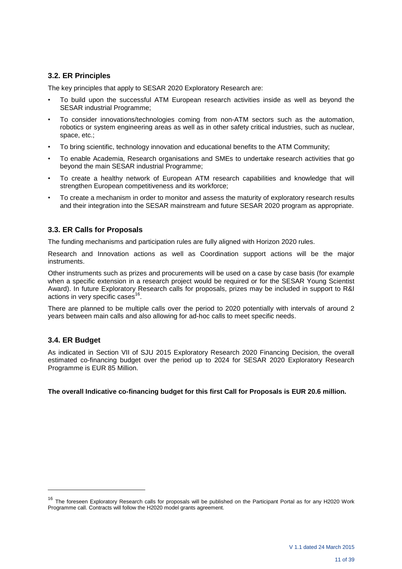# **3.2. ER Principles**

The key principles that apply to SESAR 2020 Exploratory Research are:

- To build upon the successful ATM European research activities inside as well as beyond the SESAR industrial Programme;
- To consider innovations/technologies coming from non-ATM sectors such as the automation, robotics or system engineering areas as well as in other safety critical industries, such as nuclear, space, etc.;
- To bring scientific, technology innovation and educational benefits to the ATM Community;
- To enable Academia, Research organisations and SMEs to undertake research activities that go beyond the main SESAR industrial Programme;
- To create a healthy network of European ATM research capabilities and knowledge that will strengthen European competitiveness and its workforce;
- To create a mechanism in order to monitor and assess the maturity of exploratory research results and their integration into the SESAR mainstream and future SESAR 2020 program as appropriate.

# **3.3. ER Calls for Proposals**

The funding mechanisms and participation rules are fully aligned with Horizon 2020 rules.

Research and Innovation actions as well as Coordination support actions will be the major instruments.

Other instruments such as prizes and procurements will be used on a case by case basis (for example when a specific extension in a research project would be required or for the SESAR Young Scientist Award). In future Exploratory Research calls for proposals, prizes may be included in support to R&I actions in very specific cases<sup>1</sup> .

There are planned to be multiple calls over the period to 2020 potentially with intervals of around 2 years between main calls and also allowing for ad-hoc calls to meet specific needs.

#### **3.4. ER Budget**

l

As indicated in Section VII of SJU 2015 Exploratory Research 2020 Financing Decision, the overall estimated co-financing budget over the period up to 2024 for SESAR 2020 Exploratory Research Programme is EUR 85 Million.

**The overall Indicative co-financing budget for this first Call for Proposals is EUR 20.6 million.**

<sup>&</sup>lt;sup>16</sup> The foreseen Exploratory Research calls for proposals will be published on the Participant Portal as for any H2020 Work Programme call. Contracts will follow the H2020 model grants agreement.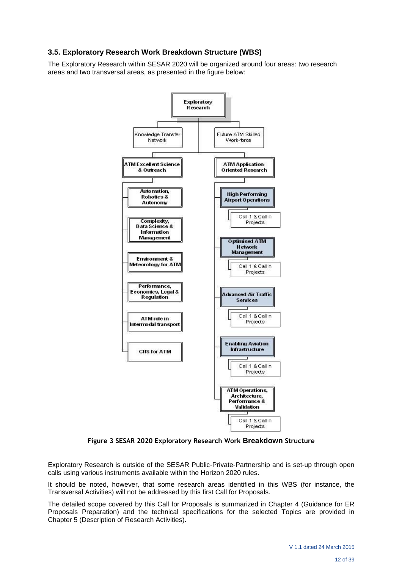# **3.5. Exploratory Research Work Breakdown Structure (WBS)**

The Exploratory Research within SESAR 2020 will be organized around four areas: two research areas and two transversal areas, as presented in the figure below:



**Figure 3 SESAR 2020 Exploratory Research Work Breakdown Structure**

Exploratory Research is outside of the SESAR Public-Private-Partnership and is set-up through open calls using various instruments available within the Horizon 2020 rules.

It should be noted, however, that some research areas identified in this WBS (for instance, the Transversal Activities) will not be addressed by this first Call for Proposals.

The detailed scope covered by this Call for Proposals is summarized in Chapter 4 (Guidance for ER Proposals Preparation) and the technical specifications for the selected Topics are provided in Chapter 5 (Description of Research Activities).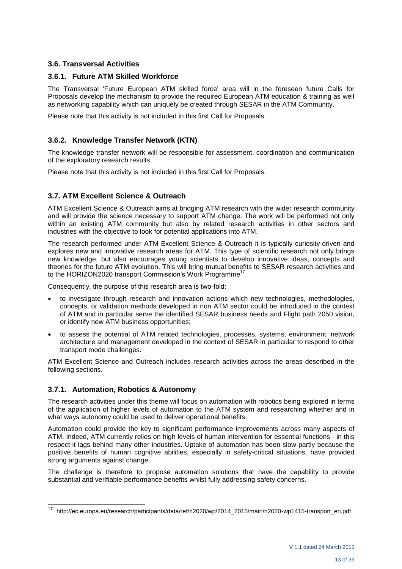# **3.6. Transversal Activities**

#### **3.6.1. Future ATM Skilled Workforce**

The Transversal 'Future European ATM skilled force' area will in the foreseen future Calls for Proposals develop the mechanism to provide the required European ATM education & training as well as networking capability which can uniquely be created through SESAR in the ATM Community.

Please note that this activity is not included in this first Call for Proposals.

#### **3.6.2. Knowledge Transfer Network (KTN)**

The knowledge transfer network will be responsible for assessment, coordination and communication of the exploratory research results.

Please note that this activity is not included in this first Call for Proposals.

#### **3.7. ATM Excellent Science & Outreach**

ATM Excellent Science & Outreach aims at bridging ATM research with the wider research community and will provide the science necessary to support ATM change. The work will be performed not only within an existing ATM community but also by related research activities in other sectors and industries with the objective to look for potential applications into ATM.

The research performed under ATM Excellent Science & Outreach it is typically curiosity-driven and explores new and innovative research areas for ATM. This type of scientific research not only brings new knowledge, but also encourages young scientists to develop innovative ideas, concepts and theories for the future ATM evolution. This will bring mutual benefits to SESAR research activities and to the HORIZON2020 transport Commission's Work Programme<sup>17</sup>.

Consequently, the purpose of this research area is two-fold:

- to investigate through research and innovation actions which new technologies, methodologies, concepts, or validation methods developed in non ATM sector could be introduced in the context of ATM and in particular serve the identified SESAR business needs and Flight path 2050 vision, or identify new ATM business opportunities;
- to assess the potential of ATM related technologies, processes, systems, environment, network architecture and management developed in the context of SESAR in particular to respond to other transport mode challenges.

ATM Excellent Science and Outreach includes research activities across the areas described in the following sections.

#### **3.7.1. Automation, Robotics & Autonomy**

l

The research activities under this theme will focus on automation with robotics being explored in terms of the application of higher levels of automation to the ATM system and researching whether and in what ways autonomy could be used to deliver operational benefits.

Automation could provide the key to significant performance improvements across many aspects of ATM. Indeed, ATM currently relies on high levels of human intervention for essential functions - in this respect it lags behind many other industries. Uptake of automation has been slow partly because the positive benefits of human cognitive abilities, especially in safety-critical situations, have provided strong arguments against change.

The challenge is therefore to propose automation solutions that have the capability to provide substantial and verifiable performance benefits whilst fully addressing safety concerns.

<sup>17</sup> [http://ec.europa.eu/research/participants/data/ref/h2020/wp/2014\\_2015/main/h2020-w](http://ec.europa.eu/research/participants/data/ref/h2020/wp/2014_2015/main/h2020-)p1415-transport\_en.pdf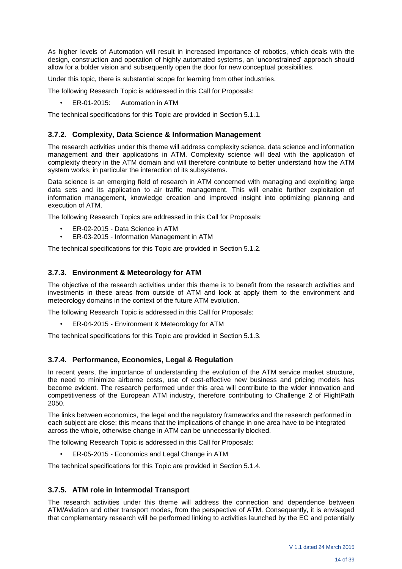As higher levels of Automation will result in increased importance of robotics, which deals with the design, construction and operation of highly automated systems, an 'unconstrained' approach should allow for a bolder vision and subsequently open the door for new conceptual possibilities.

Under this topic, there is substantial scope for learning from other industries.

The following Research Topic is addressed in this Call for Proposals:

• ER-01-2015: Automation in ATM

The technical specifications for this Topic are provided in Section 5.1.1.

#### **3.7.2. Complexity, Data Science & Information Management**

The research activities under this theme will address complexity science, data science and information management and their applications in ATM. Complexity science will deal with the application of complexity theory in the ATM domain and will therefore contribute to better understand how the ATM system works, in particular the interaction of its subsystems.

Data science is an emerging field of research in ATM concerned with managing and exploiting large data sets and its application to air traffic management. This will enable further exploitation of information management, knowledge creation and improved insight into optimizing planning and execution of ATM.

The following Research Topics are addressed in this Call for Proposals:

- ER-02-2015 Data Science in ATM
- ER-03-2015 Information Management in ATM

The technical specifications for this Topic are provided in Section 5.1.2.

#### **3.7.3. Environment & Meteorology for ATM**

The objective of the research activities under this theme is to benefit from the research activities and investments in these areas from outside of ATM and look at apply them to the environment and meteorology domains in the context of the future ATM evolution.

The following Research Topic is addressed in this Call for Proposals:

• ER-04-2015 - Environment & Meteorology for ATM

The technical specifications for this Topic are provided in Section 5.1.3.

# **3.7.4. Performance, Economics, Legal & Regulation**

In recent years, the importance of understanding the evolution of the ATM service market structure, the need to minimize airborne costs, use of cost-effective new business and pricing models has become evident. The research performed under this area will contribute to the wider innovation and competitiveness of the European ATM industry, therefore contributing to Challenge 2 of FlightPath 2050.

The links between economics, the legal and the regulatory frameworks and the research performed in each subject are close; this means that the implications of change in one area have to be integrated across the whole, otherwise change in ATM can be unnecessarily blocked.

The following Research Topic is addressed in this Call for Proposals:

• ER-05-2015 - Economics and Legal Change in ATM

The technical specifications for this Topic are provided in Section 5.1.4.

# **3.7.5. ATM role in Intermodal Transport**

The research activities under this theme will address the connection and dependence between ATM/Aviation and other transport modes, from the perspective of ATM. Consequently, it is envisaged that complementary research will be performed linking to activities launched by the EC and potentially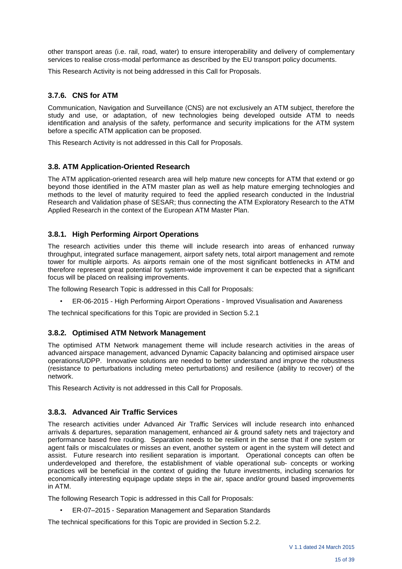other transport areas (i.e. rail, road, water) to ensure interoperability and delivery of complementary services to realise cross-modal performance as described by the EU transport policy documents.

This Research Activity is not being addressed in this Call for Proposals.

# **3.7.6. CNS for ATM**

Communication, Navigation and Surveillance (CNS) are not exclusively an ATM subject, therefore the study and use, or adaptation, of new technologies being developed outside ATM to needs identification and analysis of the safety, performance and security implications for the ATM system before a specific ATM application can be proposed.

This Research Activity is not addressed in this Call for Proposals.

#### **3.8. ATM Application-Oriented Research**

The ATM application-oriented research area will help mature new concepts for ATM that extend or go beyond those identified in the ATM master plan as well as help mature emerging technologies and methods to the level of maturity required to feed the applied research conducted in the Industrial Research and Validation phase of SESAR; thus connecting the ATM Exploratory Research to the ATM Applied Research in the context of the European ATM Master Plan.

#### **3.8.1. High Performing Airport Operations**

The research activities under this theme will include research into areas of enhanced runway throughput, integrated surface management, airport safety nets, total airport management and remote tower for multiple airports. As airports remain one of the most significant bottlenecks in ATM and therefore represent great potential for system-wide improvement it can be expected that a significant focus will be placed on realising improvements.

The following Research Topic is addressed in this Call for Proposals:

• ER-06-2015 - High Performing Airport Operations - Improved Visualisation and Awareness

The technical specifications for this Topic are provided in Section 5.2.1

#### **3.8.2. Optimised ATM Network Management**

The optimised ATM Network management theme will include research activities in the areas of advanced airspace management, advanced Dynamic Capacity balancing and optimised airspace user operations/UDPP. Innovative solutions are needed to better understand and improve the robustness (resistance to perturbations including meteo perturbations) and resilience (ability to recover) of the network.

This Research Activity is not addressed in this Call for Proposals.

#### **3.8.3. Advanced Air Traffic Services**

The research activities under Advanced Air Traffic Services will include research into enhanced arrivals & departures, separation management, enhanced air & ground safety nets and trajectory and performance based free routing. Separation needs to be resilient in the sense that if one system or agent fails or miscalculates or misses an event, another system or agent in the system will detect and assist. Future research into resilient separation is important. Operational concepts can often be underdeveloped and therefore, the establishment of viable operational sub- concepts or working practices will be beneficial in the context of guiding the future investments, including scenarios for economically interesting equipage update steps in the air, space and/or ground based improvements in ATM.

The following Research Topic is addressed in this Call for Proposals:

• ER-07–2015 - Separation Management and Separation Standards

The technical specifications for this Topic are provided in Section 5.2.2.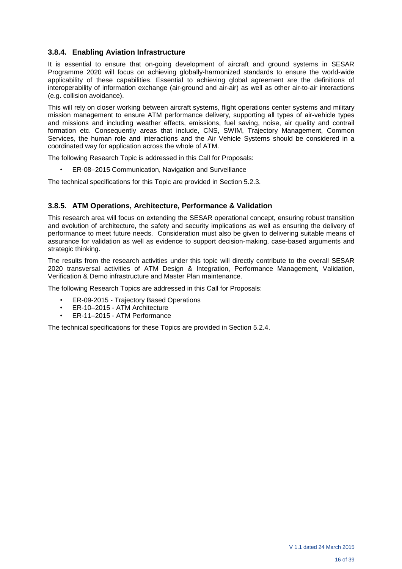# **3.8.4. Enabling Aviation Infrastructure**

It is essential to ensure that on-going development of aircraft and ground systems in SESAR Programme 2020 will focus on achieving globally-harmonized standards to ensure the world-wide applicability of these capabilities. Essential to achieving global agreement are the definitions of interoperability of information exchange (air-ground and air-air) as well as other air-to-air interactions (e.g. collision avoidance).

This will rely on closer working between aircraft systems, flight operations center systems and military mission management to ensure ATM performance delivery, supporting all types of air-vehicle types and missions and including weather effects, emissions, fuel saving, noise, air quality and contrail formation etc. Consequently areas that include, CNS, SWIM, Trajectory Management, Common Services, the human role and interactions and the Air Vehicle Systems should be considered in a coordinated way for application across the whole of ATM.

The following Research Topic is addressed in this Call for Proposals:

• ER-08–2015 Communication, Navigation and Surveillance

The technical specifications for this Topic are provided in Section 5.2.3.

# **3.8.5. ATM Operations, Architecture, Performance & Validation**

This research area will focus on extending the SESAR operational concept, ensuring robust transition and evolution of architecture, the safety and security implications as well as ensuring the delivery of performance to meet future needs. Consideration must also be given to delivering suitable means of assurance for validation as well as evidence to support decision-making, case-based arguments and strategic thinking.

The results from the research activities under this topic will directly contribute to the overall SESAR 2020 transversal activities of ATM Design & Integration, Performance Management, Validation, Verification & Demo infrastructure and Master Plan maintenance.

The following Research Topics are addressed in this Call for Proposals:

- ER-09-2015 Trajectory Based Operations
- ER-10-2015 ATM Architecture<br>• ER-11-2015 ATM Performance
- ER-11–2015 ATM Performance

The technical specifications for these Topics are provided in Section 5.2.4.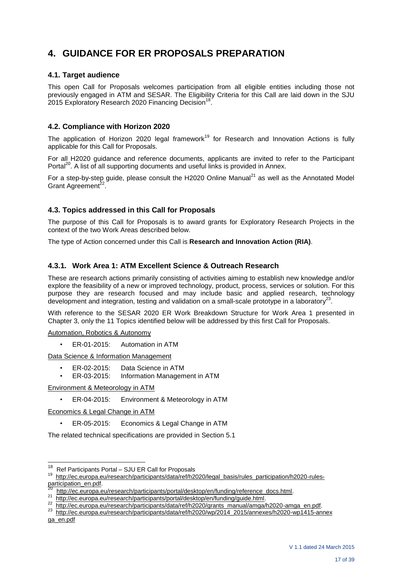# **4. GUIDANCE FOR ER PROPOSALS PREPARATION**

## **4.1. Target audience**

This open Call for Proposals welcomes participation from all eligible entities including those not previously engaged in ATM and SESAR. The Eligibility Criteria for this Call are laid down in the SJU 2015 Exploratory Research 2020 Financing Decision<sup>18</sup> .

#### **4.2. Compliance with Horizon 2020**

The application of Horizon 2020 legal framework<sup>19</sup> for Research and Innovation Actions is fully applicable for this Call for Proposals.

For all H2020 guidance and reference documents, applicants are invited to refer to the Participant Portal<sup>20</sup>. A list of all supporting documents and useful links is provided in Annex.

For a step-by-step guide, please consult the H2020 Online Manual $^{21}$  as well as the Annotated Model Grant Agreement<sup>22</sup>.

# **4.3. Topics addressed in this Call for Proposals**

The purpose of this Call for Proposals is to award grants for Exploratory Research Projects in the context of the two Work Areas described below.

The type of Action concerned under this Call is **Research and Innovation Action (RIA)**.

# **4.3.1. Work Area 1: ATM Excellent Science & Outreach Research**

These are research actions primarily consisting of activities aiming to establish new knowledge and/or explore the feasibility of a new or improved technology, product, process, services or solution. For this purpose they are research focused and may include basic and applied research, technology development and integration, testing and validation on a small-scale prototype in a laboratory<sup>23</sup>.

With reference to the SESAR 2020 ER Work Breakdown Structure for Work Area 1 presented in Chapter 3, only the 11 Topics identified below will be addressed by this first Call for Proposals.

Automation, Robotics & Autonomy

• ER-01-2015: Automation in ATM

Data Science & Information Management

- ER-02-2015: Data Science in ATM
- ER-03-2015: Information Management in ATM

Environment & Meteorology in ATM

• ER-04-2015: Environment & Meteorology in ATM

Economics & Legal Change in ATM

• ER-05-2015: Economics & Legal Change in ATM

The related technical specifications are provided in Section 5.1

 $\frac{1}{18}$ <sup>18</sup> Ref Participants Portal – SJU ER Call for Proposals

<sup>19</sup> [http://ec.europa.eu/research/participants/data/ref/h2020/legal\\_basis/rules\\_participation/h2020-rules](http://ec.europa.eu/research/participants/data/ref/h2020/legal_basis/rules_participation/h2020-rules-participation_en.pdf)[participation\\_en.pdf.](http://ec.europa.eu/research/participants/data/ref/h2020/legal_basis/rules_participation/h2020-rules-participation_en.pdf)<br><sup>20</sup> http://cc.europe.cu

 $\frac{20}{10}$  [http://ec.europa.eu/research/participants/portal/desktop/en/funding/reference\\_docs.html.](http://ec.europa.eu/research/participants/portal/desktop/en/funding/reference_docs.html)

[http://ec.europa.eu/research/participants/portal/desktop/en/funding/guide.html.](http://ec.europa.eu/research/participants/portal/desktop/en/funding/guide.html)

<sup>22</sup> http://ec.europa.eu/research/participants/data/ref/h2020/grants\_manual/amga/h2020-amga\_en.pdf.

<sup>23</sup>  [http://ec.europa.eu/research/participants/data/ref/h2020/wp/2014\\_2015/annexes/h2020-wp1415-annex](http://ec.europa.eu/research/participants/data/ref/h2020/wp/2014_2015/annexes/h2020-wp1415-annex%20ga_en.pdf) [ga\\_en.pdf](http://ec.europa.eu/research/participants/data/ref/h2020/wp/2014_2015/annexes/h2020-wp1415-annex%20ga_en.pdf)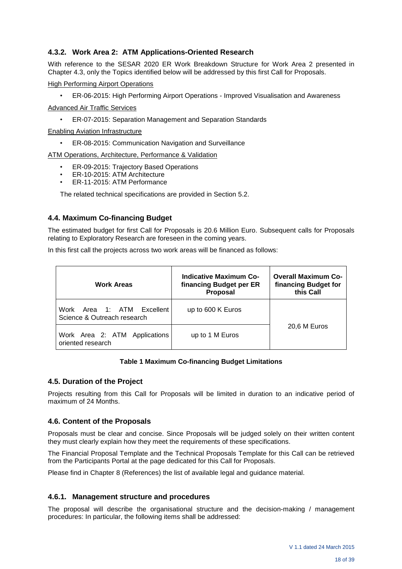# **4.3.2. Work Area 2: ATM Applications-Oriented Research**

With reference to the SESAR 2020 ER Work Breakdown Structure for Work Area 2 presented in Chapter 4.3, only the Topics identified below will be addressed by this first Call for Proposals.

High Performing Airport Operations

• ER-06-2015: High Performing Airport Operations - Improved Visualisation and Awareness

Advanced Air Traffic Services

• ER-07-2015: Separation Management and Separation Standards

Enabling Aviation Infrastructure

• ER-08-2015: Communication Navigation and Surveillance

ATM Operations, Architecture, Performance & Validation

- ER-09-2015: Trajectory Based Operations
- ER-10-2015: ATM Architecture
- ER-11-2015: ATM Performance

The related technical specifications are provided in Section 5.2.

#### **4.4. Maximum Co-financing Budget**

The estimated budget for first Call for Proposals is 20.6 Million Euro. Subsequent calls for Proposals relating to Exploratory Research are foreseen in the coming years.

In this first call the projects across two work areas will be financed as follows:

| <b>Work Areas</b>                                         | <b>Indicative Maximum Co-</b><br>financing Budget per ER<br><b>Proposal</b> | <b>Overall Maximum Co-</b><br>financing Budget for<br>this Call |
|-----------------------------------------------------------|-----------------------------------------------------------------------------|-----------------------------------------------------------------|
| Work Area 1: ATM Excellent<br>Science & Outreach research | up to 600 K Euros                                                           |                                                                 |
| Work Area 2: ATM Applications<br>oriented research        | up to 1 M Euros                                                             | 20,6 M Euros                                                    |

#### **Table 1 Maximum Co-financing Budget Limitations**

#### **4.5. Duration of the Project**

Projects resulting from this Call for Proposals will be limited in duration to an indicative period of maximum of 24 Months.

#### **4.6. Content of the Proposals**

Proposals must be clear and concise. Since Proposals will be judged solely on their written content they must clearly explain how they meet the requirements of these specifications.

The Financial Proposal Template and the Technical Proposals Template for this Call can be retrieved from the Participants Portal at the page dedicated for this Call for Proposals.

Please find in Chapter 8 (References) the list of available legal and guidance material.

#### **4.6.1. Management structure and procedures**

The proposal will describe the organisational structure and the decision-making / management procedures: In particular, the following items shall be addressed: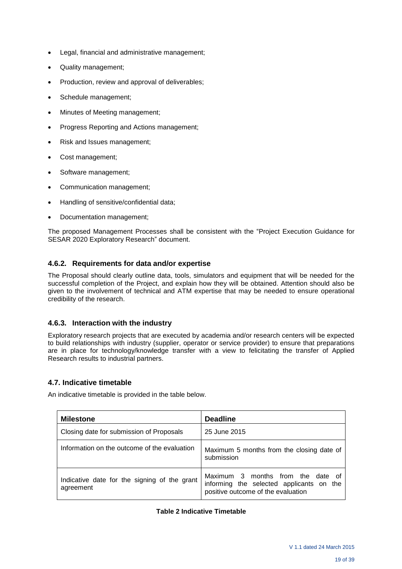- Legal, financial and administrative management;
- Quality management;
- Production, review and approval of deliverables;
- Schedule management;
- Minutes of Meeting management;
- Progress Reporting and Actions management;
- Risk and Issues management;
- Cost management;
- Software management;
- Communication management;
- Handling of sensitive/confidential data;
- Documentation management;

The proposed Management Processes shall be consistent with the "Project Execution Guidance for SESAR 2020 Exploratory Research" document.

# **4.6.2. Requirements for data and/or expertise**

The Proposal should clearly outline data, tools, simulators and equipment that will be needed for the successful completion of the Project, and explain how they will be obtained. Attention should also be given to the involvement of technical and ATM expertise that may be needed to ensure operational credibility of the research.

# **4.6.3. Interaction with the industry**

Exploratory research projects that are executed by academia and/or research centers will be expected to build relationships with industry (supplier, operator or service provider) to ensure that preparations are in place for technology/knowledge transfer with a view to felicitating the transfer of Applied Research results to industrial partners.

# **4.7. Indicative timetable**

An indicative timetable is provided in the table below.

| <b>Milestone</b>                                          | <b>Deadline</b>                                                                                                     |
|-----------------------------------------------------------|---------------------------------------------------------------------------------------------------------------------|
| Closing date for submission of Proposals                  | 25 June 2015                                                                                                        |
| Information on the outcome of the evaluation              | Maximum 5 months from the closing date of<br>submission                                                             |
| Indicative date for the signing of the grant<br>agreement | Maximum 3 months from the date of<br>informing the selected applicants on the<br>positive outcome of the evaluation |

#### **Table 2 Indicative Timetable**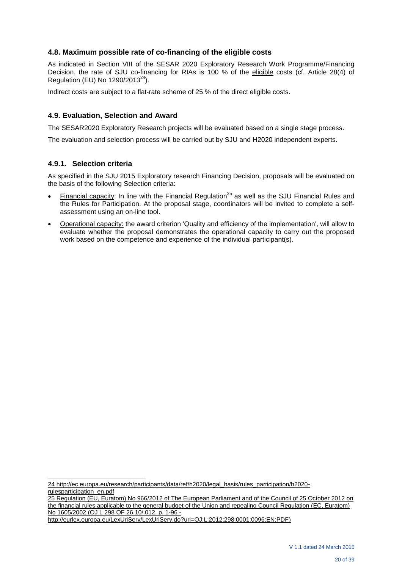## **4.8. Maximum possible rate of co-financing of the eligible costs**

As indicated in Section VIII of the SESAR 2020 Exploratory Research Work Programme/Financing Decision, the rate of SJU co-financing for RIAs is 100 % of the eligible costs (cf. Article 28(4) of Regulation (EU) No  $1290/2013^{24}$ ).

Indirect costs are subject to a flat-rate scheme of 25 % of the direct eligible costs.

#### **4.9. Evaluation, Selection and Award**

The SESAR2020 Exploratory Research projects will be evaluated based on a single stage process.

The evaluation and selection process will be carried out by SJU and H2020 independent experts.

#### **4.9.1. Selection criteria**

As specified in the SJU 2015 Exploratory research Financing Decision, proposals will be evaluated on the basis of the following Selection criteria:

- Financial capacity: In line with the Financial Regulation<sup>25</sup> as well as the SJU Financial Rules and the Rules for Participation. At the proposal stage, coordinators will be invited to complete a selfassessment using an on-line tool.
- Operational capacity: the award criterion 'Quality and efficiency of the implementation', will allow to evaluate whether the proposal demonstrates the operational capacity to carry out the proposed work based on the competence and experience of the individual participant(s).

l 24 [http://ec.europa.eu/research/participants/data/ref/h2020/legal\\_basis/rules\\_participation/h2020](http://ec.europa.eu/research/participants/data/ref/h2020/legal_basis/rules_participation/h2020-rulesparticipation_en.pdf) [rulesparticipation\\_en.pdf](http://ec.europa.eu/research/participants/data/ref/h2020/legal_basis/rules_participation/h2020-rulesparticipation_en.pdf) 

25 Regulation (EU, Euratom) No 966/2012 of The European Parliament and of the Council of 25 October 2012 on the financial rules applicable to the general budget of the Union and repealing Council Regulation (EC, Euratom) No 1605/2002 (OJ L 298 OF 26.10/.012, p. 1-96 -

[http://eurlex.europa.eu/LexUriServ/LexUriServ.do?uri=OJ:L:2012:298:0001:0096:EN:PDF\)](http://eurlex.europa.eu/LexUriServ/LexUriServ.do?uri=OJ:L:2012:298:0001:0096:EN:PDF)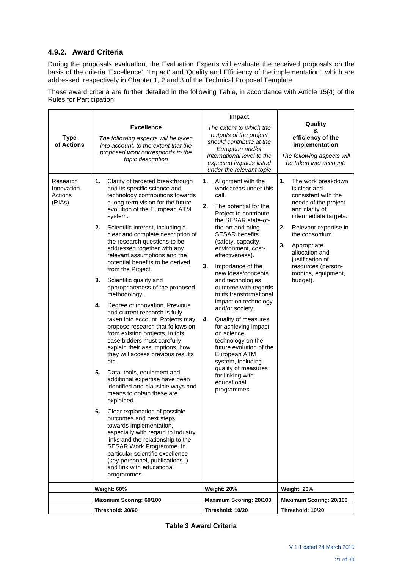# **4.9.2. Award Criteria**

During the proposals evaluation, the Evaluation Experts will evaluate the received proposals on the basis of the criteria 'Excellence', 'Impact' and 'Quality and Efficiency of the implementation', which are addressed respectively in Chapter 1, 2 and 3 of the Technical Proposal Template.

These award criteria are further detailed in the following Table, in accordance with Article 15(4) of the Rules for Participation:

|                                             |                                                                                                                                                                                                                                                                                                                                                                                                                                                                                                                                                                                                                                                                                                                                                                                                                                                                                                                                                                                                                                                                                                                                                                                                                                                                                                      | Impact                                                                                                                                                                                                                                                                                                                                                                                                                                                                                                                                                                                                                                                      |                                                                                                                                                                                                                                                                                                         |  |
|---------------------------------------------|------------------------------------------------------------------------------------------------------------------------------------------------------------------------------------------------------------------------------------------------------------------------------------------------------------------------------------------------------------------------------------------------------------------------------------------------------------------------------------------------------------------------------------------------------------------------------------------------------------------------------------------------------------------------------------------------------------------------------------------------------------------------------------------------------------------------------------------------------------------------------------------------------------------------------------------------------------------------------------------------------------------------------------------------------------------------------------------------------------------------------------------------------------------------------------------------------------------------------------------------------------------------------------------------------|-------------------------------------------------------------------------------------------------------------------------------------------------------------------------------------------------------------------------------------------------------------------------------------------------------------------------------------------------------------------------------------------------------------------------------------------------------------------------------------------------------------------------------------------------------------------------------------------------------------------------------------------------------------|---------------------------------------------------------------------------------------------------------------------------------------------------------------------------------------------------------------------------------------------------------------------------------------------------------|--|
| <b>Type</b><br>of Actions                   | <b>Excellence</b><br>The following aspects will be taken<br>into account, to the extent that the<br>proposed work corresponds to the<br>topic description                                                                                                                                                                                                                                                                                                                                                                                                                                                                                                                                                                                                                                                                                                                                                                                                                                                                                                                                                                                                                                                                                                                                            | The extent to which the<br>outputs of the project<br>should contribute at the<br>European and/or<br>International level to the<br>expected impacts listed<br>under the relevant topic                                                                                                                                                                                                                                                                                                                                                                                                                                                                       | Quality<br>&<br>efficiency of the<br>implementation<br>The following aspects will<br>be taken into account:                                                                                                                                                                                             |  |
| Research<br>Innovation<br>Actions<br>(RIAs) | 1.<br>Clarity of targeted breakthrough<br>and its specific science and<br>technology contributions towards<br>a long-term vision for the future<br>evolution of the European ATM<br>system.<br>2.<br>Scientific interest, including a<br>clear and complete description of<br>the research questions to be<br>addressed together with any<br>relevant assumptions and the<br>potential benefits to be derived<br>from the Project.<br>3.<br>Scientific quality and<br>appropriateness of the proposed<br>methodology.<br>4.<br>Degree of innovation. Previous<br>and current research is fully<br>taken into account. Projects may<br>propose research that follows on<br>from existing projects, in this<br>case bidders must carefully<br>explain their assumptions, how<br>they will access previous results<br>etc.<br>5.<br>Data, tools, equipment and<br>additional expertise have been<br>identified and plausible ways and<br>means to obtain these are<br>explained.<br>Clear explanation of possible<br>6.<br>outcomes and next steps<br>towards implementation,<br>especially with regard to industry<br>links and the relationship to the<br>SESAR Work Programme. In<br>particular scientific excellence<br>(key personnel, publications,.)<br>and link with educational<br>programmes. | 1.<br>Alignment with the<br>work areas under this<br>call.<br>2.<br>The potential for the<br>Project to contribute<br>the SESAR state-of-<br>the-art and bring<br><b>SESAR benefits</b><br>(safety, capacity,<br>environment, cost-<br>effectiveness).<br>3.<br>Importance of the<br>new ideas/concepts<br>and technologies<br>outcome with regards<br>to its transformational<br>impact on technology<br>and/or society.<br>4.<br>Quality of measures<br>for achieving impact<br>on science,<br>technology on the<br>future evolution of the<br>European ATM<br>system, including<br>quality of measures<br>for linking with<br>educational<br>programmes. | 1.<br>The work breakdown<br>is clear and<br>consistent with the<br>needs of the project<br>and clarity of<br>intermediate targets.<br>2.<br>Relevant expertise in<br>the consortium.<br>3.<br>Appropriate<br>allocation and<br>justification of<br>resources (person-<br>months, equipment,<br>budget). |  |
|                                             | Weight: 60%                                                                                                                                                                                                                                                                                                                                                                                                                                                                                                                                                                                                                                                                                                                                                                                                                                                                                                                                                                                                                                                                                                                                                                                                                                                                                          | Weight: 20%                                                                                                                                                                                                                                                                                                                                                                                                                                                                                                                                                                                                                                                 | Weight: 20%                                                                                                                                                                                                                                                                                             |  |
|                                             | Maximum Scoring: 60/100                                                                                                                                                                                                                                                                                                                                                                                                                                                                                                                                                                                                                                                                                                                                                                                                                                                                                                                                                                                                                                                                                                                                                                                                                                                                              | <b>Maximum Scoring: 20/100</b>                                                                                                                                                                                                                                                                                                                                                                                                                                                                                                                                                                                                                              | Maximum Scoring: 20/100                                                                                                                                                                                                                                                                                 |  |
|                                             | Threshold: 30/60                                                                                                                                                                                                                                                                                                                                                                                                                                                                                                                                                                                                                                                                                                                                                                                                                                                                                                                                                                                                                                                                                                                                                                                                                                                                                     | Threshold: 10/20                                                                                                                                                                                                                                                                                                                                                                                                                                                                                                                                                                                                                                            | Threshold: 10/20                                                                                                                                                                                                                                                                                        |  |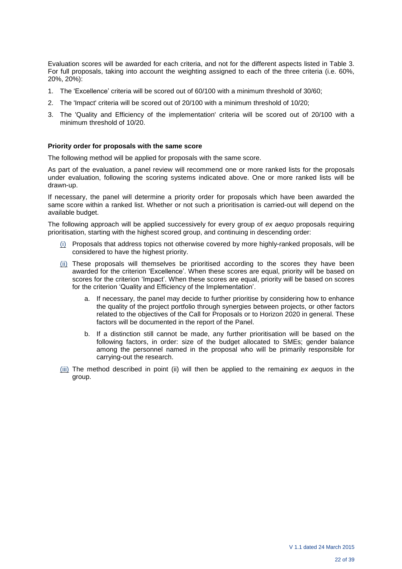Evaluation scores will be awarded for each criteria, and not for the different aspects listed in Table 3. For full proposals, taking into account the weighting assigned to each of the three criteria (i.e. 60%, 20%, 20%):

- 1. The 'Excellence' criteria will be scored out of 60/100 with a minimum threshold of 30/60;
- 2. The 'Impact' criteria will be scored out of 20/100 with a minimum threshold of 10/20;
- 3. The 'Quality and Efficiency of the implementation' criteria will be scored out of 20/100 with a minimum threshold of 10/20.

#### **Priority order for proposals with the same score**

The following method will be applied for proposals with the same score.

As part of the evaluation, a panel review will recommend one or more ranked lists for the proposals under evaluation, following the scoring systems indicated above. One or more ranked lists will be drawn-up.

If necessary, the panel will determine a priority order for proposals which have been awarded the same score within a ranked list. Whether or not such a prioritisation is carried-out will depend on the available budget.

The following approach will be applied successively for every group of *ex aequo* proposals requiring prioritisation, starting with the highest scored group, and continuing in descending order:

- (i) Proposals that address topics not otherwise covered by more highly-ranked proposals, will be considered to have the highest priority.
- (ii) These proposals will themselves be prioritised according to the scores they have been awarded for the criterion 'Excellence'. When these scores are equal, priority will be based on scores for the criterion 'Impact'. When these scores are equal, priority will be based on scores for the criterion 'Quality and Efficiency of the Implementation'.
	- a. If necessary, the panel may decide to further prioritise by considering how to enhance the quality of the project portfolio through synergies between projects, or other factors related to the objectives of the Call for Proposals or to Horizon 2020 in general. These factors will be documented in the report of the Panel.
	- b. If a distinction still cannot be made, any further prioritisation will be based on the following factors, in order: size of the budget allocated to SMEs; gender balance among the personnel named in the proposal who will be primarily responsible for carrying-out the research.
- (iii) The method described in point (ii) will then be applied to the remaining *ex aequos* in the group.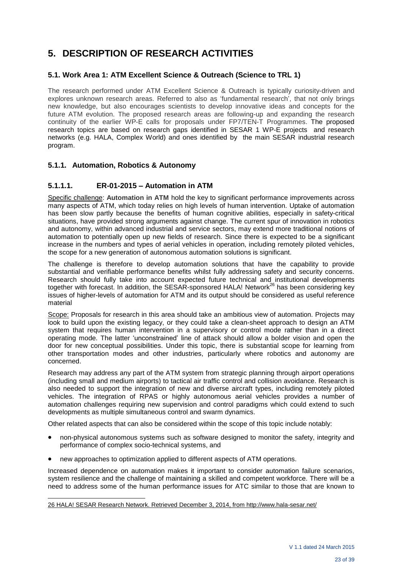# **5. DESCRIPTION OF RESEARCH ACTIVITIES**

# **5.1. Work Area 1: ATM Excellent Science & Outreach (Science to TRL 1)**

The research performed under ATM Excellent Science & Outreach is typically curiosity-driven and explores unknown research areas. Referred to also as 'fundamental research', that not only brings new knowledge, but also encourages scientists to develop innovative ideas and concepts for the future ATM evolution. The proposed research areas are following-up and expanding the research continuity of the earlier WP-E calls for proposals under FP7/TEN-T Programmes. The proposed research topics are based on research gaps identified in SESAR 1 WP-E projects and research networks (e.g. HALA, Complex World) and ones identified by the main SESAR industrial research program.

# **5.1.1. Automation, Robotics & Autonomy**

# **5.1.1.1. ER-01-2015 – Automation in ATM**

Specific challenge: **Automation in ATM** hold the key to significant performance improvements across many aspects of ATM, which today relies on high levels of human intervention. Uptake of automation has been slow partly because the benefits of human cognitive abilities, especially in safety-critical situations, have provided strong arguments against change. The current spur of innovation in robotics and autonomy, within advanced industrial and service sectors, may extend more traditional notions of automation to potentially open up new fields of research. Since there is expected to be a significant increase in the numbers and types of aerial vehicles in operation, including remotely piloted vehicles, the scope for a new generation of autonomous automation solutions is significant.

The challenge is therefore to develop automation solutions that have the capability to provide substantial and verifiable performance benefits whilst fully addressing safety and security concerns. Research should fully take into account expected future technical and institutional developments together with forecast. In addition, the SESAR-sponsored HALA! Network<sup>26</sup> has been considering key issues of higher-levels of automation for ATM and its output should be considered as useful reference material

Scope: Proposals for research in this area should take an ambitious view of automation. Projects may look to build upon the existing legacy, or they could take a clean-sheet approach to design an ATM system that requires human intervention in a supervisory or control mode rather than in a direct operating mode. The latter 'unconstrained' line of attack should allow a bolder vision and open the door for new conceptual possibilities. Under this topic, there is substantial scope for learning from other transportation modes and other industries, particularly where robotics and autonomy are concerned.

Research may address any part of the ATM system from strategic planning through airport operations (including small and medium airports) to tactical air traffic control and collision avoidance. Research is also needed to support the integration of new and diverse aircraft types, including remotely piloted vehicles. The integration of RPAS or highly autonomous aerial vehicles provides a number of automation challenges requiring new supervision and control paradigms which could extend to such developments as multiple simultaneous control and swarm dynamics.

Other related aspects that can also be considered within the scope of this topic include notably:

- non-physical autonomous systems such as software designed to monitor the safety, integrity and performance of complex socio-technical systems, and
- new approaches to optimization applied to different aspects of ATM operations.

Increased dependence on automation makes it important to consider automation failure scenarios, system resilience and the challenge of maintaining a skilled and competent workforce. There will be a need to address some of the human performance issues for ATC similar to those that are known to

#### l 26 HALA! SESAR Research Network. Retrieved December 3, 2014, from http://www.hala-sesar.net/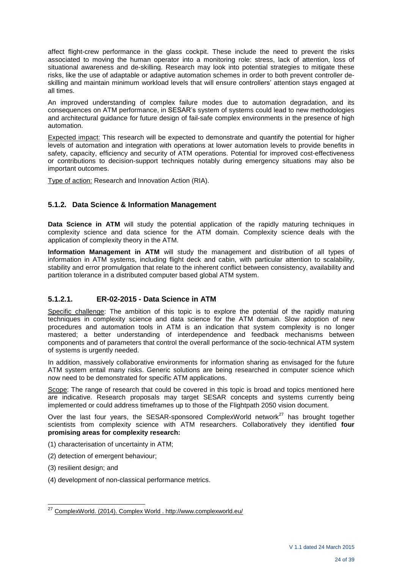affect flight-crew performance in the glass cockpit. These include the need to prevent the risks associated to moving the human operator into a monitoring role: stress, lack of attention, loss of situational awareness and de-skilling. Research may look into potential strategies to mitigate these risks, like the use of adaptable or adaptive automation schemes in order to both prevent controller deskilling and maintain minimum workload levels that will ensure controllers' attention stays engaged at all times.

An improved understanding of complex failure modes due to automation degradation, and its consequences on ATM performance, in SESAR's system of systems could lead to new methodologies and architectural guidance for future design of fail-safe complex environments in the presence of high automation.

Expected impact: This research will be expected to demonstrate and quantify the potential for higher levels of automation and integration with operations at lower automation levels to provide benefits in safety, capacity, efficiency and security of ATM operations. Potential for improved cost-effectiveness or contributions to decision-support techniques notably during emergency situations may also be important outcomes.

Type of action: Research and Innovation Action (RIA).

# **5.1.2. Data Science & Information Management**

**Data Science in ATM** will study the potential application of the rapidly maturing techniques in complexity science and data science for the ATM domain. Complexity science deals with the application of complexity theory in the ATM.

**Information Management in ATM** will study the management and distribution of all types of information in ATM systems, including flight deck and cabin, with particular attention to scalability, stability and error promulgation that relate to the inherent conflict between consistency, availability and partition tolerance in a distributed computer based global ATM system.

# **5.1.2.1. ER-02-2015 - Data Science in ATM**

Specific challenge: The ambition of this topic is to explore the potential of the rapidly maturing techniques in complexity science and data science for the ATM domain. Slow adoption of new procedures and automation tools in ATM is an indication that system complexity is no longer mastered; a better understanding of interdependence and feedback mechanisms between components and of parameters that control the overall performance of the socio-technical ATM system of systems is urgently needed.

In addition, massively collaborative environments for information sharing as envisaged for the future ATM system entail many risks. Generic solutions are being researched in computer science which now need to be demonstrated for specific ATM applications.

Scope: The range of research that could be covered in this topic is broad and topics mentioned here are indicative. Research proposals may target SESAR concepts and systems currently being implemented or could address timeframes up to those of the Flightpath 2050 vision document.

Over the last four years, the SESAR-sponsored ComplexWorld network $2^7$  has brought together scientists from complexity science with ATM researchers. Collaboratively they identified **four promising areas for complexity research:**

- (1) characterisation of uncertainty in ATM;
- (2) detection of emergent behaviour;
- (3) resilient design; and

l

(4) development of non-classical performance metrics.

<sup>&</sup>lt;sup>27</sup> ComplexWorld. (2014). Complex World . http://www.complexworld.eu/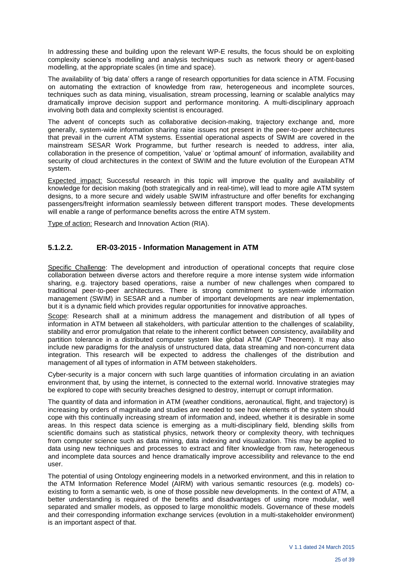In addressing these and building upon the relevant WP-E results, the focus should be on exploiting complexity science's modelling and analysis techniques such as network theory or agent-based modelling, at the appropriate scales (in time and space).

The availability of 'big data' offers a range of research opportunities for data science in ATM. Focusing on automating the extraction of knowledge from raw, heterogeneous and incomplete sources, techniques such as data mining, visualisation, stream processing, learning or scalable analytics may dramatically improve decision support and performance monitoring. A multi-disciplinary approach involving both data and complexity scientist is encouraged.

The advent of concepts such as collaborative decision-making, trajectory exchange and, more generally, system-wide information sharing raise issues not present in the peer-to-peer architectures that prevail in the current ATM systems. Essential operational aspects of SWIM are covered in the mainstream SESAR Work Programme, but further research is needed to address, inter alia, collaboration in the presence of competition, 'value' or 'optimal amount' of information, availability and security of cloud architectures in the context of SWIM and the future evolution of the European ATM system.

Expected impact: Successful research in this topic will improve the quality and availability of knowledge for decision making (both strategically and in real-time), will lead to more agile ATM system designs, to a more secure and widely usable SWIM infrastructure and offer benefits for exchanging passengers/freight information seamlessly between different transport modes. These developments will enable a range of performance benefits across the entire ATM system.

Type of action: Research and Innovation Action (RIA).

# **5.1.2.2. ER-03-2015 - Information Management in ATM**

Specific Challenge: The development and introduction of operational concepts that require close collaboration between diverse actors and therefore require a more intense system wide information sharing, e.g. trajectory based operations, raise a number of new challenges when compared to traditional peer-to-peer architectures. There is strong commitment to system-wide information management (SWIM) in SESAR and a number of important developments are near implementation, but it is a dynamic field which provides regular opportunities for innovative approaches.

Scope: Research shall at a minimum address the management and distribution of all types of information in ATM between all stakeholders, with particular attention to the challenges of scalability, stability and error promulgation that relate to the inherent conflict between consistency, availability and partition tolerance in a distributed computer system like global ATM (CAP Theorem). It may also include new paradigms for the analysis of unstructured data, data streaming and non-concurrent data integration. This research will be expected to address the challenges of the distribution and management of all types of information in ATM between stakeholders.

Cyber-security is a major concern with such large quantities of information circulating in an aviation environment that, by using the internet, is connected to the external world. Innovative strategies may be explored to cope with security breaches designed to destroy, interrupt or corrupt information.

The quantity of data and information in ATM (weather conditions, aeronautical, flight, and trajectory) is increasing by orders of magnitude and studies are needed to see how elements of the system should cope with this continually increasing stream of information and, indeed, whether it is desirable in some areas. In this respect data science is emerging as a multi-disciplinary field, blending skills from scientific domains such as statistical physics, network theory or complexity theory, with techniques from computer science such as data mining, data indexing and visualization. This may be applied to data using new techniques and processes to extract and filter knowledge from raw, heterogeneous and incomplete data sources and hence dramatically improve accessibility and relevance to the end user.

The potential of using Ontology engineering models in a networked environment, and this in relation to the ATM Information Reference Model (AIRM) with various semantic resources (e.g. models) coexisting to form a semantic web, is one of those possible new developments. In the context of ATM, a better understanding is required of the benefits and disadvantages of using more modular, well separated and smaller models, as opposed to large monolithic models. Governance of these models and their corresponding information exchange services (evolution in a multi-stakeholder environment) is an important aspect of that.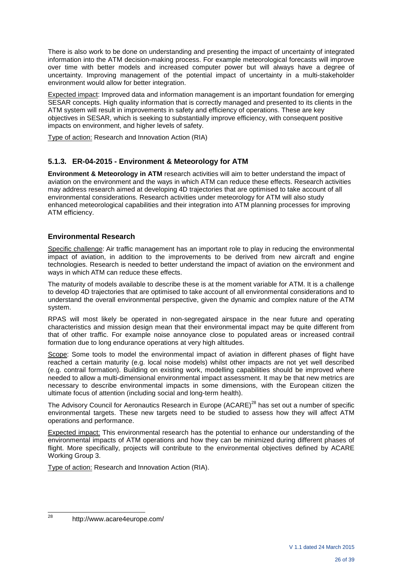There is also work to be done on understanding and presenting the impact of uncertainty of integrated information into the ATM decision-making process. For example meteorological forecasts will improve over time with better models and increased computer power but will always have a degree of uncertainty. Improving management of the potential impact of uncertainty in a multi-stakeholder environment would allow for better integration.

Expected impact: Improved data and information management is an important foundation for emerging SESAR concepts. High quality information that is correctly managed and presented to its clients in the ATM system will result in improvements in safety and efficiency of operations. These are key objectives in SESAR, which is seeking to substantially improve efficiency, with consequent positive impacts on environment, and higher levels of safety.

Type of action: Research and Innovation Action (RIA)

# **5.1.3. ER-04-2015 - Environment & Meteorology for ATM**

**Environment & Meteorology in ATM** research activities will aim to better understand the impact of aviation on the environment and the ways in which ATM can reduce these effects. Research activities may address research aimed at developing 4D trajectories that are optimised to take account of all environmental considerations. Research activities under meteorology for ATM will also study enhanced meteorological capabilities and their integration into ATM planning processes for improving ATM efficiency.

# **Environmental Research**

Specific challenge: Air traffic management has an important role to play in reducing the environmental impact of aviation, in addition to the improvements to be derived from new aircraft and engine technologies. Research is needed to better understand the impact of aviation on the environment and ways in which ATM can reduce these effects.

The maturity of models available to describe these is at the moment variable for ATM. It is a challenge to develop 4D trajectories that are optimised to take account of all environmental considerations and to understand the overall environmental perspective, given the dynamic and complex nature of the ATM system.

RPAS will most likely be operated in non-segregated airspace in the near future and operating characteristics and mission design mean that their environmental impact may be quite different from that of other traffic. For example noise annoyance close to populated areas or increased contrail formation due to long endurance operations at very high altitudes.

Scope: Some tools to model the environmental impact of aviation in different phases of flight have reached a certain maturity (e.g. local noise models) whilst other impacts are not yet well described (e.g. contrail formation). Building on existing work, modelling capabilities should be improved where needed to allow a multi-dimensional environmental impact assessment. It may be that new metrics are necessary to describe environmental impacts in some dimensions, with the European citizen the ultimate focus of attention (including social and long-term health).

The Advisory Council for Aeronautics Research in Europe (ACARE)<sup>28</sup> has set out a number of specific environmental targets. These new targets need to be studied to assess how they will affect ATM operations and performance.

Expected impact: This environmental research has the potential to enhance our understanding of the environmental impacts of ATM operations and how they can be minimized during different phases of flight. More specifically, projects will contribute to the environmental objectives defined by ACARE Working Group 3.

Type of action: Research and Innovation Action (RIA).

 $28$ http://www.acare4europe.com/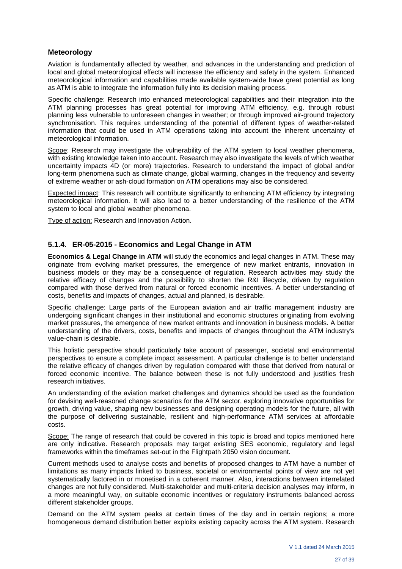#### **Meteorology**

Aviation is fundamentally affected by weather, and advances in the understanding and prediction of local and global meteorological effects will increase the efficiency and safety in the system. Enhanced meteorological information and capabilities made available system-wide have great potential as long as ATM is able to integrate the information fully into its decision making process.

Specific challenge: Research into enhanced meteorological capabilities and their integration into the ATM planning processes has great potential for improving ATM efficiency, e.g. through robust planning less vulnerable to unforeseen changes in weather; or through improved air-ground trajectory synchronisation. This requires understanding of the potential of different types of weather-related information that could be used in ATM operations taking into account the inherent uncertainty of meteorological information.

Scope: Research may investigate the vulnerability of the ATM system to local weather phenomena, with existing knowledge taken into account. Research may also investigate the levels of which weather uncertainty impacts 4D (or more) trajectories. Research to understand the impact of global and/or long-term phenomena such as climate change, global warming, changes in the frequency and severity of extreme weather or ash-cloud formation on ATM operations may also be considered.

Expected impact: This research will contribute significantly to enhancing ATM efficiency by integrating meteorological information. It will also lead to a better understanding of the resilience of the ATM system to local and global weather phenomena.

Type of action: Research and Innovation Action.

#### **5.1.4. ER-05-2015 - Economics and Legal Change in ATM**

**Economics & Legal Change in ATM** will study the economics and legal changes in ATM. These may originate from evolving market pressures, the emergence of new market entrants, innovation in business models or they may be a consequence of regulation. Research activities may study the relative efficacy of changes and the possibility to shorten the R&I lifecycle, driven by regulation compared with those derived from natural or forced economic incentives. A better understanding of costs, benefits and impacts of changes, actual and planned, is desirable.

Specific challenge: Large parts of the European aviation and air traffic management industry are undergoing significant changes in their institutional and economic structures originating from evolving market pressures, the emergence of new market entrants and innovation in business models. A better understanding of the drivers, costs, benefits and impacts of changes throughout the ATM industry's value-chain is desirable.

This holistic perspective should particularly take account of passenger, societal and environmental perspectives to ensure a complete impact assessment. A particular challenge is to better understand the relative efficacy of changes driven by regulation compared with those that derived from natural or forced economic incentive. The balance between these is not fully understood and justifies fresh research initiatives.

An understanding of the aviation market challenges and dynamics should be used as the foundation for devising well-reasoned change scenarios for the ATM sector, exploring innovative opportunities for growth, driving value, shaping new businesses and designing operating models for the future, all with the purpose of delivering sustainable, resilient and high-performance ATM services at affordable costs.

Scope: The range of research that could be covered in this topic is broad and topics mentioned here are only indicative. Research proposals may target existing SES economic, regulatory and legal frameworks within the timeframes set-out in the Flightpath 2050 vision document.

Current methods used to analyse costs and benefits of proposed changes to ATM have a number of limitations as many impacts linked to business, societal or environmental points of view are not yet systematically factored in or monetised in a coherent manner. Also, interactions between interrelated changes are not fully considered. Multi-stakeholder and multi-criteria decision analyses may inform, in a more meaningful way, on suitable economic incentives or regulatory instruments balanced across different stakeholder groups.

Demand on the ATM system peaks at certain times of the day and in certain regions; a more homogeneous demand distribution better exploits existing capacity across the ATM system. Research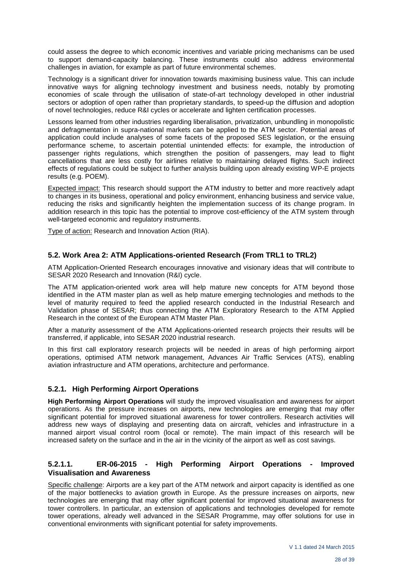could assess the degree to which economic incentives and variable pricing mechanisms can be used to support demand-capacity balancing. These instruments could also address environmental challenges in aviation, for example as part of future environmental schemes.

Technology is a significant driver for innovation towards maximising business value. This can include innovative ways for aligning technology investment and business needs, notably by promoting economies of scale through the utilisation of state-of-art technology developed in other industrial sectors or adoption of open rather than proprietary standards, to speed-up the diffusion and adoption of novel technologies, reduce R&I cycles or accelerate and lighten certification processes.

Lessons learned from other industries regarding liberalisation, privatization, unbundling in monopolistic and defragmentation in supra-national markets can be applied to the ATM sector. Potential areas of application could include analyses of some facets of the proposed SES legislation, or the ensuing performance scheme, to ascertain potential unintended effects: for example, the introduction of passenger rights regulations, which strengthen the position of passengers, may lead to flight cancellations that are less costly for airlines relative to maintaining delayed flights. Such indirect effects of regulations could be subject to further analysis building upon already existing WP-E projects results (e.g. POEM).

Expected impact: This research should support the ATM industry to better and more reactively adapt to changes in its business, operational and policy environment, enhancing business and service value, reducing the risks and significantly heighten the implementation success of its change program. In addition research in this topic has the potential to improve cost-efficiency of the ATM system through well-targeted economic and regulatory instruments.

Type of action: Research and Innovation Action (RIA).

#### **5.2. Work Area 2: ATM Applications-oriented Research (From TRL1 to TRL2)**

ATM Application-Oriented Research encourages innovative and visionary ideas that will contribute to SESAR 2020 Research and Innovation (R&I) cycle.

The ATM application-oriented work area will help mature new concepts for ATM beyond those identified in the ATM master plan as well as help mature emerging technologies and methods to the level of maturity required to feed the applied research conducted in the Industrial Research and Validation phase of SESAR; thus connecting the ATM Exploratory Research to the ATM Applied Research in the context of the European ATM Master Plan.

After a maturity assessment of the ATM Applications-oriented research projects their results will be transferred, if applicable, into SESAR 2020 industrial research.

In this first call exploratory research projects will be needed in areas of high performing airport operations, optimised ATM network management, Advances Air Traffic Services (ATS), enabling aviation infrastructure and ATM operations, architecture and performance.

#### **5.2.1. High Performing Airport Operations**

**High Performing Airport Operations** will study the improved visualisation and awareness for airport operations. As the pressure increases on airports, new technologies are emerging that may offer significant potential for improved situational awareness for tower controllers. Research activities will address new ways of displaying and presenting data on aircraft, vehicles and infrastructure in a manned airport visual control room (local or remote). The main impact of this research will be increased safety on the surface and in the air in the vicinity of the airport as well as cost savings.

#### **5.2.1.1. ER-06-2015 - High Performing Airport Operations - Improved Visualisation and Awareness**

Specific challenge: Airports are a key part of the ATM network and airport capacity is identified as one of the major bottlenecks to aviation growth in Europe. As the pressure increases on airports, new technologies are emerging that may offer significant potential for improved situational awareness for tower controllers. In particular, an extension of applications and technologies developed for remote tower operations, already well advanced in the SESAR Programme, may offer solutions for use in conventional environments with significant potential for safety improvements.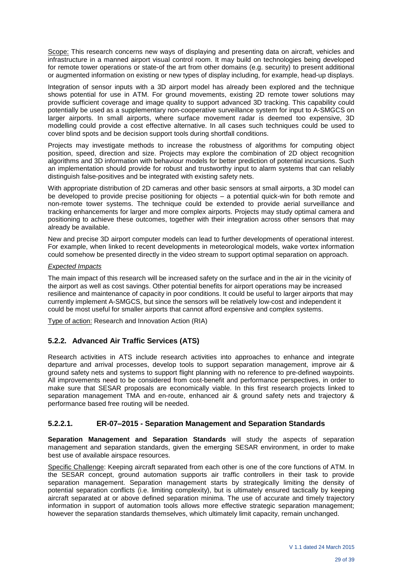Scope: This research concerns new ways of displaying and presenting data on aircraft, vehicles and infrastructure in a manned airport visual control room. It may build on technologies being developed for remote tower operations or state-of the art from other domains (e.g. security) to present additional or augmented information on existing or new types of display including, for example, head-up displays.

Integration of sensor inputs with a 3D airport model has already been explored and the technique shows potential for use in ATM. For ground movements, existing 2D remote tower solutions may provide sufficient coverage and image quality to support advanced 3D tracking. This capability could potentially be used as a supplementary non-cooperative surveillance system for input to A-SMGCS on larger airports. In small airports, where surface movement radar is deemed too expensive, 3D modelling could provide a cost effective alternative. In all cases such techniques could be used to cover blind spots and be decision support tools during shortfall conditions.

Projects may investigate methods to increase the robustness of algorithms for computing object position, speed, direction and size. Projects may explore the combination of 2D object recognition algorithms and 3D information with behaviour models for better prediction of potential incursions. Such an implementation should provide for robust and trustworthy input to alarm systems that can reliably distinguish false-positives and be integrated with existing safety nets.

With appropriate distribution of 2D cameras and other basic sensors at small airports, a 3D model can be developed to provide precise positioning for objects – a potential quick-win for both remote and non-remote tower systems. The technique could be extended to provide aerial surveillance and tracking enhancements for larger and more complex airports. Projects may study optimal camera and positioning to achieve these outcomes, together with their integration across other sensors that may already be available.

New and precise 3D airport computer models can lead to further developments of operational interest. For example, when linked to recent developments in meteorological models, wake vortex information could somehow be presented directly in the video stream to support optimal separation on approach.

#### *Expected Impacts*

The main impact of this research will be increased safety on the surface and in the air in the vicinity of the airport as well as cost savings. Other potential benefits for airport operations may be increased resilience and maintenance of capacity in poor conditions. It could be useful to larger airports that may currently implement A-SMGCS, but since the sensors will be relatively low-cost and independent it could be most useful for smaller airports that cannot afford expensive and complex systems.

Type of action: Research and Innovation Action (RIA)

# **5.2.2. Advanced Air Traffic Services (ATS)**

Research activities in ATS include research activities into approaches to enhance and integrate departure and arrival processes, develop tools to support separation management, improve air & ground safety nets and systems to support flight planning with no reference to pre-defined waypoints. All improvements need to be considered from cost-benefit and performance perspectives, in order to make sure that SESAR proposals are economically viable. In this first research projects linked to separation management TMA and en-route, enhanced air & ground safety nets and trajectory & performance based free routing will be needed.

#### **5.2.2.1. ER-07–2015 - Separation Management and Separation Standards**

**Separation Management and Separation Standards** will study the aspects of separation management and separation standards, given the emerging SESAR environment, in order to make best use of available airspace resources.

Specific Challenge: Keeping aircraft separated from each other is one of the core functions of ATM. In the SESAR concept, ground automation supports air traffic controllers in their task to provide separation management. Separation management starts by strategically limiting the density of potential separation conflicts (i.e. limiting complexity), but is ultimately ensured tactically by keeping aircraft separated at or above defined separation minima. The use of accurate and timely trajectory information in support of automation tools allows more effective strategic separation management; however the separation standards themselves, which ultimately limit capacity, remain unchanged.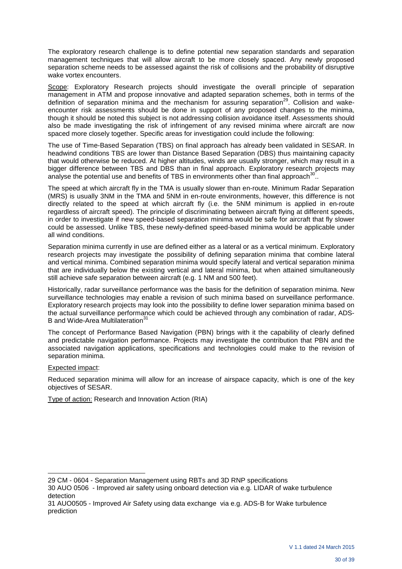The exploratory research challenge is to define potential new separation standards and separation management techniques that will allow aircraft to be more closely spaced. Any newly proposed separation scheme needs to be assessed against the risk of collisions and the probability of disruptive wake vortex encounters.

Scope: Exploratory Research projects should investigate the overall principle of separation management in ATM and propose innovative and adapted separation schemes, both in terms of the definition of separation minima and the mechanism for assuring separation<sup>29</sup>. Collision and wakeencounter risk assessments should be done in support of any proposed changes to the minima, though it should be noted this subject is not addressing collision avoidance itself. Assessments should also be made investigating the risk of infringement of any revised minima where aircraft are now spaced more closely together. Specific areas for investigation could include the following:

The use of Time-Based Separation (TBS) on final approach has already been validated in SESAR. In headwind conditions TBS are lower than Distance Based Separation (DBS) thus maintaining capacity that would otherwise be reduced. At higher altitudes, winds are usually stronger, which may result in a bigger difference between TBS and DBS than in final approach. Exploratory research projects may analyse the potential use and benefits of TBS in environments other than final approach<sup>30</sup> ..

The speed at which aircraft fly in the TMA is usually slower than en-route. Minimum Radar Separation (MRS) is usually 3NM in the TMA and 5NM in en-route environments, however, this difference is not directly related to the speed at which aircraft fly (i.e. the 5NM minimum is applied in en-route regardless of aircraft speed). The principle of discriminating between aircraft flying at different speeds, in order to investigate if new speed-based separation minima would be safe for aircraft that fly slower could be assessed. Unlike TBS, these newly-defined speed-based minima would be applicable under all wind conditions.

Separation minima currently in use are defined either as a lateral or as a vertical minimum. Exploratory research projects may investigate the possibility of defining separation minima that combine lateral and vertical minima. Combined separation minima would specify lateral and vertical separation minima that are individually below the existing vertical and lateral minima, but when attained simultaneously still achieve safe separation between aircraft (e.g. 1 NM and 500 feet).

Historically, radar surveillance performance was the basis for the definition of separation minima. New surveillance technologies may enable a revision of such minima based on surveillance performance. Exploratory research projects may look into the possibility to define lower separation minima based on the actual surveillance performance which could be achieved through any combination of radar, ADS-B and Wide-Area Multilateration<sup>31</sup>

The concept of Performance Based Navigation (PBN) brings with it the capability of clearly defined and predictable navigation performance. Projects may investigate the contribution that PBN and the associated navigation applications, specifications and technologies could make to the revision of separation minima.

#### Expected impact:

l

Reduced separation minima will allow for an increase of airspace capacity, which is one of the key objectives of SESAR.

Type of action: Research and Innovation Action (RIA)

<sup>29</sup> CM - 0604 - Separation Management using RBTs and 3D RNP specifications

<sup>30</sup> AUO 0506 - Improved air safety using onboard detection via e.g. LIDAR of wake turbulence detection

<sup>31</sup> AUO0505 - Improved Air Safety using data exchange via e.g. ADS-B for Wake turbulence prediction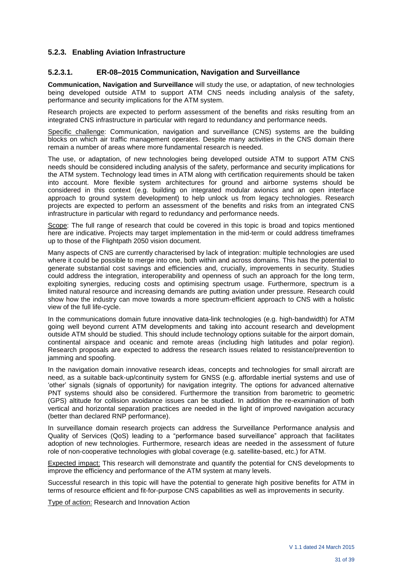# **5.2.3. Enabling Aviation Infrastructure**

#### **5.2.3.1. ER-08–2015 Communication, Navigation and Surveillance**

**Communication, Navigation and Surveillance** will study the use, or adaptation, of new technologies being developed outside ATM to support ATM CNS needs including analysis of the safety, performance and security implications for the ATM system.

Research projects are expected to perform assessment of the benefits and risks resulting from an integrated CNS infrastructure in particular with regard to redundancy and performance needs.

Specific challenge: Communication, navigation and surveillance (CNS) systems are the building blocks on which air traffic management operates. Despite many activities in the CNS domain there remain a number of areas where more fundamental research is needed.

The use, or adaptation, of new technologies being developed outside ATM to support ATM CNS needs should be considered including analysis of the safety, performance and security implications for the ATM system. Technology lead times in ATM along with certification requirements should be taken into account. More flexible system architectures for ground and airborne systems should be considered in this context (e.g. building on integrated modular avionics and an open interface approach to ground system development) to help unlock us from legacy technologies. Research projects are expected to perform an assessment of the benefits and risks from an integrated CNS infrastructure in particular with regard to redundancy and performance needs.

Scope: The full range of research that could be covered in this topic is broad and topics mentioned here are indicative. Projects may target implementation in the mid-term or could address timeframes up to those of the Flightpath 2050 vision document.

Many aspects of CNS are currently characterised by lack of integration: multiple technologies are used where it could be possible to merge into one, both within and across domains. This has the potential to generate substantial cost savings and efficiencies and, crucially, improvements in security. Studies could address the integration, interoperability and openness of such an approach for the long term, exploiting synergies, reducing costs and optimising spectrum usage. Furthermore, spectrum is a limited natural resource and increasing demands are putting aviation under pressure. Research could show how the industry can move towards a more spectrum-efficient approach to CNS with a holistic view of the full life-cycle.

In the communications domain future innovative data-link technologies (e.g. high-bandwidth) for ATM going well beyond current ATM developments and taking into account research and development outside ATM should be studied. This should include technology options suitable for the airport domain, continental airspace and oceanic and remote areas (including high latitudes and polar region). Research proposals are expected to address the research issues related to resistance/prevention to jamming and spoofing.

In the navigation domain innovative research ideas, concepts and technologies for small aircraft are need, as a suitable back-up/continuity system for GNSS (e.g. affordable inertial systems and use of 'other' signals (signals of opportunity) for navigation integrity. The options for advanced alternative PNT systems should also be considered. Furthermore the transition from barometric to geometric (GPS) altitude for collision avoidance issues can be studied. In addition the re-examination of both vertical and horizontal separation practices are needed in the light of improved navigation accuracy (better than declared RNP performance).

In surveillance domain research projects can address the Surveillance Performance analysis and Quality of Services (QoS) leading to a "performance based surveillance" approach that facilitates adoption of new technologies. Furthermore, research ideas are needed in the assessment of future role of non-cooperative technologies with global coverage (e.g. satellite-based, etc.) for ATM.

Expected impact: This research will demonstrate and quantify the potential for CNS developments to improve the efficiency and performance of the ATM system at many levels.

Successful research in this topic will have the potential to generate high positive benefits for ATM in terms of resource efficient and fit-for-purpose CNS capabilities as well as improvements in security.

Type of action: Research and Innovation Action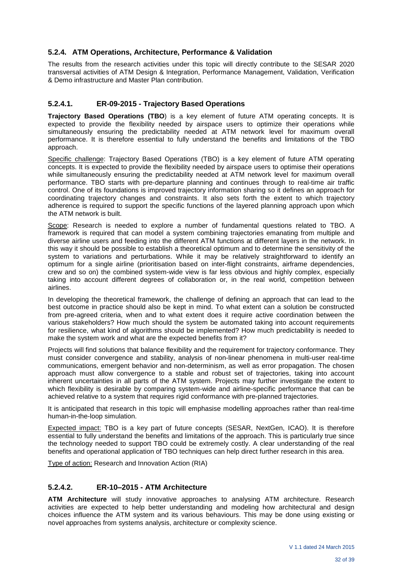# **5.2.4. ATM Operations, Architecture, Performance & Validation**

The results from the research activities under this topic will directly contribute to the SESAR 2020 transversal activities of ATM Design & Integration, Performance Management, Validation, Verification & Demo infrastructure and Master Plan contribution.

#### **5.2.4.1. ER-09-2015 - Trajectory Based Operations**

**Trajectory Based Operations (TBO**) is a key element of future ATM operating concepts. It is expected to provide the flexibility needed by airspace users to optimize their operations while simultaneously ensuring the predictability needed at ATM network level for maximum overall performance. It is therefore essential to fully understand the benefits and limitations of the TBO approach.

Specific challenge: Trajectory Based Operations (TBO) is a key element of future ATM operating concepts. It is expected to provide the flexibility needed by airspace users to optimise their operations while simultaneously ensuring the predictability needed at ATM network level for maximum overall performance. TBO starts with pre-departure planning and continues through to real-time air traffic control. One of its foundations is improved trajectory information sharing so it defines an approach for coordinating trajectory changes and constraints. It also sets forth the extent to which trajectory adherence is required to support the specific functions of the layered planning approach upon which the ATM network is built.

Scope: Research is needed to explore a number of fundamental questions related to TBO. A framework is required that can model a system combining trajectories emanating from multiple and diverse airline users and feeding into the different ATM functions at different layers in the network. In this way it should be possible to establish a theoretical optimum and to determine the sensitivity of the system to variations and perturbations. While it may be relatively straightforward to identify an optimum for a single airline (prioritisation based on inter-flight constraints, airframe dependencies, crew and so on) the combined system-wide view is far less obvious and highly complex, especially taking into account different degrees of collaboration or, in the real world, competition between airlines.

In developing the theoretical framework, the challenge of defining an approach that can lead to the best outcome in practice should also be kept in mind. To what extent can a solution be constructed from pre-agreed criteria, when and to what extent does it require active coordination between the various stakeholders? How much should the system be automated taking into account requirements for resilience, what kind of algorithms should be implemented? How much predictability is needed to make the system work and what are the expected benefits from it?

Projects will find solutions that balance flexibility and the requirement for trajectory conformance. They must consider convergence and stability, analysis of non-linear phenomena in multi-user real-time communications, emergent behavior and non-determinism, as well as error propagation. The chosen approach must allow convergence to a stable and robust set of trajectories, taking into account inherent uncertainties in all parts of the ATM system. Projects may further investigate the extent to which flexibility is desirable by comparing system-wide and airline-specific performance that can be achieved relative to a system that requires rigid conformance with pre-planned trajectories.

It is anticipated that research in this topic will emphasise modelling approaches rather than real-time human-in-the-loop simulation.

Expected impact: TBO is a key part of future concepts (SESAR, NextGen, ICAO). It is therefore essential to fully understand the benefits and limitations of the approach. This is particularly true since the technology needed to support TBO could be extremely costly. A clear understanding of the real benefits and operational application of TBO techniques can help direct further research in this area.

Type of action: Research and Innovation Action (RIA)

# **5.2.4.2. ER-10–2015 - ATM Architecture**

**ATM Architecture** will study innovative approaches to analysing ATM architecture. Research activities are expected to help better understanding and modeling how architectural and design choices influence the ATM system and its various behaviours. This may be done using existing or novel approaches from systems analysis, architecture or complexity science.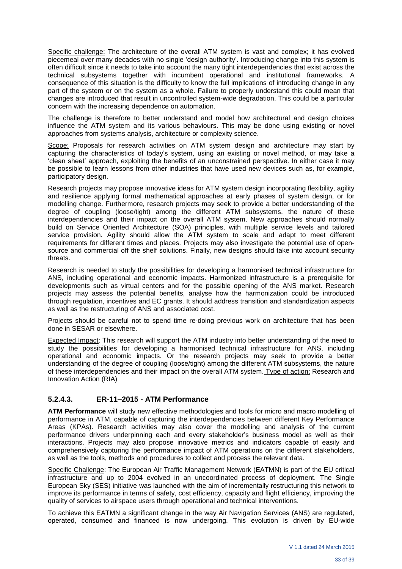Specific challenge: The architecture of the overall ATM system is vast and complex; it has evolved piecemeal over many decades with no single 'design authority'. Introducing change into this system is often difficult since it needs to take into account the many tight interdependencies that exist across the technical subsystems together with incumbent operational and institutional frameworks. A consequence of this situation is the difficulty to know the full implications of introducing change in any part of the system or on the system as a whole. Failure to properly understand this could mean that changes are introduced that result in uncontrolled system-wide degradation. This could be a particular concern with the increasing dependence on automation.

The challenge is therefore to better understand and model how architectural and design choices influence the ATM system and its various behaviours. This may be done using existing or novel approaches from systems analysis, architecture or complexity science.

Scope: Proposals for research activities on ATM system design and architecture may start by capturing the characteristics of today's system, using an existing or novel method, or may take a 'clean sheet' approach, exploiting the benefits of an unconstrained perspective. In either case it may be possible to learn lessons from other industries that have used new devices such as, for example, participatory design.

Research projects may propose innovative ideas for ATM system design incorporating flexibility, agility and resilience applying formal mathematical approaches at early phases of system design, or for modelling change. Furthermore, research projects may seek to provide a better understanding of the degree of coupling (loose/tight) among the different ATM subsystems, the nature of these interdependencies and their impact on the overall ATM system. New approaches should normally build on Service Oriented Architecture (SOA) principles, with multiple service levels and tailored service provision. Agility should allow the ATM system to scale and adapt to meet different requirements for different times and places. Projects may also investigate the potential use of opensource and commercial off the shelf solutions. Finally, new designs should take into account security threats.

Research is needed to study the possibilities for developing a harmonised technical infrastructure for ANS, including operational and economic impacts. Harmonized infrastructure is a prerequisite for developments such as virtual centers and for the possible opening of the ANS market. Research projects may assess the potential benefits, analyse how the harmonization could be introduced through regulation, incentives and EC grants. It should address transition and standardization aspects as well as the restructuring of ANS and associated cost.

Projects should be careful not to spend time re-doing previous work on architecture that has been done in SESAR or elsewhere.

Expected Impact: This research will support the ATM industry into better understanding of the need to study the possibilities for developing a harmonised technical infrastructure for ANS, including operational and economic impacts. Or the research projects may seek to provide a better understanding of the degree of coupling (loose/tight) among the different ATM subsystems, the nature of these interdependencies and their impact on the overall ATM system. Type of action: Research and Innovation Action (RIA)

# **5.2.4.3. ER-11–2015 - ATM Performance**

**ATM Performance** will study new effective methodologies and tools for micro and macro modelling of performance in ATM, capable of capturing the interdependencies between different Key Performance Areas (KPAs). Research activities may also cover the modelling and analysis of the current performance drivers underpinning each and every stakeholder's business model as well as their interactions. Projects may also propose innovative metrics and indicators capable of easily and comprehensively capturing the performance impact of ATM operations on the different stakeholders, as well as the tools, methods and procedures to collect and process the relevant data.

Specific Challenge: The European Air Traffic Management Network (EATMN) is part of the EU critical infrastructure and up to 2004 evolved in an uncoordinated process of deployment. The Single European Sky (SES) initiative was launched with the aim of incrementally restructuring this network to improve its performance in terms of safety, cost efficiency, capacity and flight efficiency, improving the quality of services to airspace users through operational and technical interventions.

To achieve this EATMN a significant change in the way Air Navigation Services (ANS) are regulated, operated, consumed and financed is now undergoing. This evolution is driven by EU-wide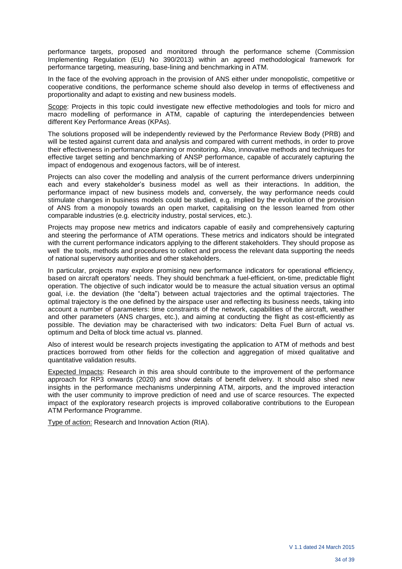performance targets, proposed and monitored through the performance scheme (Commission Implementing Regulation (EU) No 390/2013) within an agreed methodological framework for performance targeting, measuring, base-lining and benchmarking in ATM.

In the face of the evolving approach in the provision of ANS either under monopolistic, competitive or cooperative conditions, the performance scheme should also develop in terms of effectiveness and proportionality and adapt to existing and new business models.

Scope: Projects in this topic could investigate new effective methodologies and tools for micro and macro modelling of performance in ATM, capable of capturing the interdependencies between different Key Performance Areas (KPAs).

The solutions proposed will be independently reviewed by the Performance Review Body (PRB) and will be tested against current data and analysis and compared with current methods, in order to prove their effectiveness in performance planning or monitoring. Also, innovative methods and techniques for effective target setting and benchmarking of ANSP performance, capable of accurately capturing the impact of endogenous and exogenous factors, will be of interest.

Projects can also cover the modelling and analysis of the current performance drivers underpinning each and every stakeholder's business model as well as their interactions. In addition, the performance impact of new business models and, conversely, the way performance needs could stimulate changes in business models could be studied, e.g. implied by the evolution of the provision of ANS from a monopoly towards an open market, capitalising on the lesson learned from other comparable industries (e.g. electricity industry, postal services, etc.).

Projects may propose new metrics and indicators capable of easily and comprehensively capturing and steering the performance of ATM operations. These metrics and indicators should be integrated with the current performance indicators applying to the different stakeholders. They should propose as well the tools, methods and procedures to collect and process the relevant data supporting the needs of national supervisory authorities and other stakeholders.

In particular, projects may explore promising new performance indicators for operational efficiency, based on aircraft operators' needs. They should benchmark a fuel-efficient, on-time, predictable flight operation. The objective of such indicator would be to measure the actual situation versus an optimal goal, i.e. the deviation (the "delta") between actual trajectories and the optimal trajectories. The optimal trajectory is the one defined by the airspace user and reflecting its business needs, taking into account a number of parameters: time constraints of the network, capabilities of the aircraft, weather and other parameters (ANS charges, etc.), and aiming at conducting the flight as cost-efficiently as possible. The deviation may be characterised with two indicators: Delta Fuel Burn of actual vs. optimum and Delta of block time actual vs. planned.

Also of interest would be research projects investigating the application to ATM of methods and best practices borrowed from other fields for the collection and aggregation of mixed qualitative and quantitative validation results.

Expected Impacts: Research in this area should contribute to the improvement of the performance approach for RP3 onwards (2020) and show details of benefit delivery. It should also shed new insights in the performance mechanisms underpinning ATM, airports, and the improved interaction with the user community to improve prediction of need and use of scarce resources. The expected impact of the exploratory research projects is improved collaborative contributions to the European ATM Performance Programme.

Type of action: Research and Innovation Action (RIA).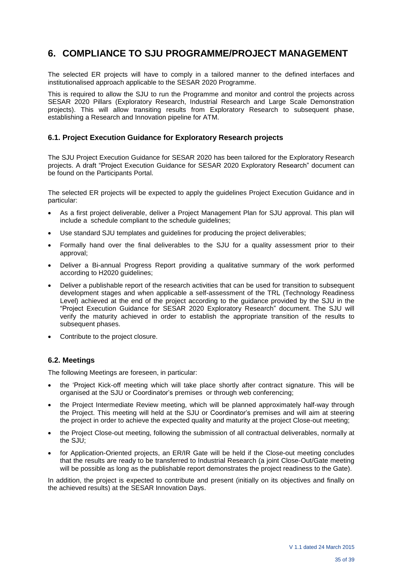# **6. COMPLIANCE TO SJU PROGRAMME/PROJECT MANAGEMENT**

The selected ER projects will have to comply in a tailored manner to the defined interfaces and institutionalised approach applicable to the SESAR 2020 Programme.

This is required to allow the SJU to run the Programme and monitor and control the projects across SESAR 2020 Pillars (Exploratory Research, Industrial Research and Large Scale Demonstration projects). This will allow transiting results from Exploratory Research to subsequent phase, establishing a Research and Innovation pipeline for ATM.

#### **6.1. Project Execution Guidance for Exploratory Research projects**

The SJU Project Execution Guidance for SESAR 2020 has been tailored for the Exploratory Research projects. A draft "Project Execution Guidance for SESAR 2020 Exploratory Research" document can be found on the Participants Portal.

The selected ER projects will be expected to apply the guidelines Project Execution Guidance and in particular:

- As a first project deliverable, deliver a Project Management Plan for SJU approval. This plan will include a schedule compliant to the schedule guidelines;
- Use standard SJU templates and guidelines for producing the project deliverables;
- Formally hand over the final deliverables to the SJU for a quality assessment prior to their approval;
- Deliver a Bi-annual Progress Report providing a qualitative summary of the work performed according to H2020 guidelines;
- Deliver a publishable report of the research activities that can be used for transition to subsequent development stages and when applicable a self-assessment of the TRL (Technology Readiness Level) achieved at the end of the project according to the guidance provided by the SJU in the "Project Execution Guidance for SESAR 2020 Exploratory Research" document. The SJU will verify the maturity achieved in order to establish the appropriate transition of the results to subsequent phases.
- Contribute to the project closure.

# **6.2. Meetings**

The following Meetings are foreseen, in particular:

- the 'Project Kick-off meeting which will take place shortly after contract signature. This will be organised at the SJU or Coordinator's premises or through web conferencing;
- the Project Intermediate Review meeting, which will be planned approximately half-way through the Project. This meeting will held at the SJU or Coordinator's premises and will aim at steering the project in order to achieve the expected quality and maturity at the project Close-out meeting;
- the Project Close-out meeting, following the submission of all contractual deliverables, normally at the SJU;
- for Application-Oriented projects, an ER/IR Gate will be held if the Close-out meeting concludes that the results are ready to be transferred to Industrial Research (a joint Close-Out/Gate meeting will be possible as long as the publishable report demonstrates the project readiness to the Gate).

In addition, the project is expected to contribute and present (initially on its objectives and finally on the achieved results) at the SESAR Innovation Days.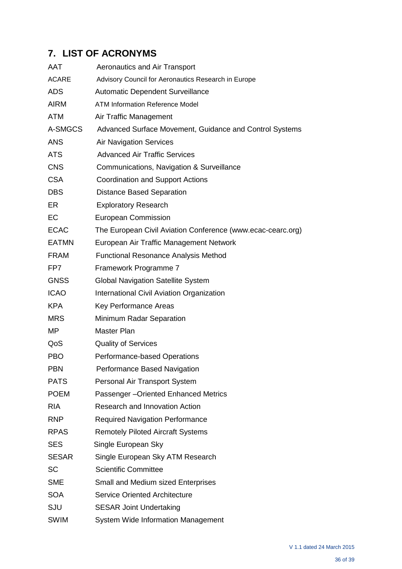# **7. LIST OF ACRONYMS**

| AAT          | <b>Aeronautics and Air Transport</b>                        |
|--------------|-------------------------------------------------------------|
| <b>ACARE</b> | Advisory Council for Aeronautics Research in Europe         |
| <b>ADS</b>   | <b>Automatic Dependent Surveillance</b>                     |
| <b>AIRM</b>  | <b>ATM Information Reference Model</b>                      |
| <b>ATM</b>   | Air Traffic Management                                      |
| A-SMGCS      | Advanced Surface Movement, Guidance and Control Systems     |
| <b>ANS</b>   | <b>Air Navigation Services</b>                              |
| <b>ATS</b>   | <b>Advanced Air Traffic Services</b>                        |
| <b>CNS</b>   | Communications, Navigation & Surveillance                   |
| <b>CSA</b>   | <b>Coordination and Support Actions</b>                     |
| <b>DBS</b>   | <b>Distance Based Separation</b>                            |
| ER.          | <b>Exploratory Research</b>                                 |
| EC           | <b>European Commission</b>                                  |
| <b>ECAC</b>  | The European Civil Aviation Conference (www.ecac-cearc.org) |
| <b>EATMN</b> | European Air Traffic Management Network                     |
| <b>FRAM</b>  | <b>Functional Resonance Analysis Method</b>                 |
| FP7          | Framework Programme 7                                       |
| <b>GNSS</b>  | <b>Global Navigation Satellite System</b>                   |
| <b>ICAO</b>  | International Civil Aviation Organization                   |
| <b>KPA</b>   | Key Performance Areas                                       |
| <b>MRS</b>   | Minimum Radar Separation                                    |
| MP           | <b>Master Plan</b>                                          |
| QoS          | <b>Quality of Services</b>                                  |
| <b>PBO</b>   | Performance-based Operations                                |
| PBN          | Performance Based Navigation                                |
| <b>PATS</b>  | Personal Air Transport System                               |
| <b>POEM</b>  | Passenger-Oriented Enhanced Metrics                         |
| <b>RIA</b>   | Research and Innovation Action                              |
| <b>RNP</b>   | <b>Required Navigation Performance</b>                      |
| <b>RPAS</b>  | <b>Remotely Piloted Aircraft Systems</b>                    |
| <b>SES</b>   | Single European Sky                                         |
| <b>SESAR</b> | Single European Sky ATM Research                            |
| <b>SC</b>    | <b>Scientific Committee</b>                                 |
| <b>SME</b>   | Small and Medium sized Enterprises                          |
| <b>SOA</b>   | <b>Service Oriented Architecture</b>                        |
| <b>SJU</b>   | <b>SESAR Joint Undertaking</b>                              |
| <b>SWIM</b>  | <b>System Wide Information Management</b>                   |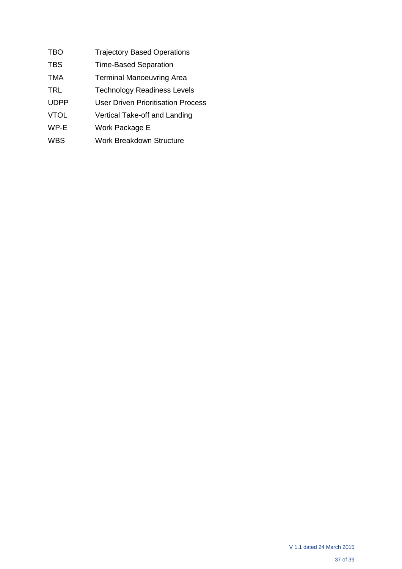- TBO **Trajectory Based Operations**
- TBS Time-Based Separation
- TMA Terminal Manoeuvring Area
- TRL Technology Readiness Levels
- UDPP User Driven Prioritisation Process
- VTOL Vertical Take-off and Landing
- WP-E Work Package E
- WBS Work Breakdown Structure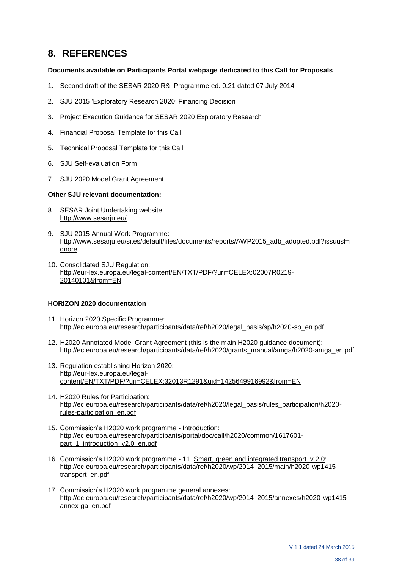# **8. REFERENCES**

#### **Documents available on Participants Portal webpage dedicated to this Call for Proposals**

- 1. Second draft of the SESAR 2020 R&I Programme ed. 0.21 dated 07 July 2014
- 2. SJU 2015 'Exploratory Research 2020' Financing Decision
- 3. Project Execution Guidance for SESAR 2020 Exploratory Research
- 4. Financial Proposal Template for this Call
- 5. Technical Proposal Template for this Call
- 6. SJU Self-evaluation Form
- 7. SJU 2020 Model Grant Agreement

#### **Other SJU relevant documentation:**

- 8. SESAR Joint Undertaking website: <http://www.sesarju.eu/>
- 9. SJU 2015 Annual Work Programme: [http://www.sesarju.eu/sites/default/files/documents/reports/AWP2015\\_adb\\_adopted.pdf?issuusl=i](http://www.sesarju.eu/sites/default/files/documents/reports/AWP2015_adb_adopted.pdf?issuusl=ignore) [gnore](http://www.sesarju.eu/sites/default/files/documents/reports/AWP2015_adb_adopted.pdf?issuusl=ignore)
- 10. Consolidated SJU Regulation: [http://eur-lex.europa.eu/legal-content/EN/TXT/PDF/?uri=CELEX:02007R0219-](http://eur-lex.europa.eu/legal-content/EN/TXT/PDF/?uri=CELEX:02007R0219-20140101&from=EN) [20140101&from=EN](http://eur-lex.europa.eu/legal-content/EN/TXT/PDF/?uri=CELEX:02007R0219-20140101&from=EN)

#### **HORIZON 2020 documentation**

- 11. Horizon 2020 Specific [Programme:](http://ec.europa.eu/research/participants/data/ref/h2020/legal_basis/sp/h2020-sp_en.pdf) [http://ec.europa.eu/research/participants/data/ref/h2020/legal\\_basis/sp/h2020-sp\\_en.pdf](http://ec.europa.eu/research/participants/data/ref/h2020/legal_basis/sp/h2020-sp_en.pdf)
- 12. H2020 Annotated Model Grant Agreement (this is the main H2020 guidance document): [http://ec.europa.eu/research/participants/data/ref/h2020/grants\\_manual/amga/h2020-amga\\_en.pdf](http://ec.europa.eu/research/participants/data/ref/h2020/grants_manual/amga/h2020-amga_en.pdf)
- 13. Regulation establishing Horizon 2020: [http://eur-lex.europa.eu/legal](http://eur-lex.europa.eu/legal-content/EN/TXT/PDF/?uri=CELEX:32013R1291&qid=1425649916992&from=EN)[content/EN/TXT/PDF/?uri=CELEX:32013R1291&qid=1425649916992&from=EN](http://eur-lex.europa.eu/legal-content/EN/TXT/PDF/?uri=CELEX:32013R1291&qid=1425649916992&from=EN)
- 14. H2020 Rules for Participation: [http://ec.europa.eu/research/participants/data/ref/h2020/legal\\_basis/rules\\_participation/h2020](http://ec.europa.eu/research/participants/data/ref/h2020/legal_basis/rules_participation/h2020-rules-participation_en.pdf) [rules-participation\\_en.pdf](http://ec.europa.eu/research/participants/data/ref/h2020/legal_basis/rules_participation/h2020-rules-participation_en.pdf)
- 15. Commission's H2020 work programme Introduction: [http://ec.europa.eu/research/participants/portal/doc/call/h2020/common/1617601](http://ec.europa.eu/research/participants/portal/doc/call/h2020/common/1617601-part_1_introduction_v2.0_en.pdf) [part\\_1\\_introduction\\_v2.0\\_en.pdf](http://ec.europa.eu/research/participants/portal/doc/call/h2020/common/1617601-part_1_introduction_v2.0_en.pdf)
- 16. Commission's H2020 work programme 11. Smart, green and integrated [transport\\_v.2.0:](http://ec.europa.eu/research/participants/data/ref/h2020/wp/2014_2015/main/h2020-wp1415-transport_en.pdf) [http://ec.europa.eu/research/participants/data/ref/h2020/wp/2014\\_2015/main/h2020-wp1415](http://ec.europa.eu/research/participants/data/ref/h2020/wp/2014_2015/main/h2020-wp1415-transport_en.pdf) [transport\\_en.pdf](http://ec.europa.eu/research/participants/data/ref/h2020/wp/2014_2015/main/h2020-wp1415-transport_en.pdf)
- 17. Commission's H2020 work programme general annexes: [http://ec.europa.eu/research/participants/data/ref/h2020/wp/2014\\_2015/annexes/h2020-wp1415](http://ec.europa.eu/research/participants/data/ref/h2020/wp/2014_2015/annexes/h2020-wp1415-annex-ga_en.pdf) [annex-ga\\_en.pdf](http://ec.europa.eu/research/participants/data/ref/h2020/wp/2014_2015/annexes/h2020-wp1415-annex-ga_en.pdf)